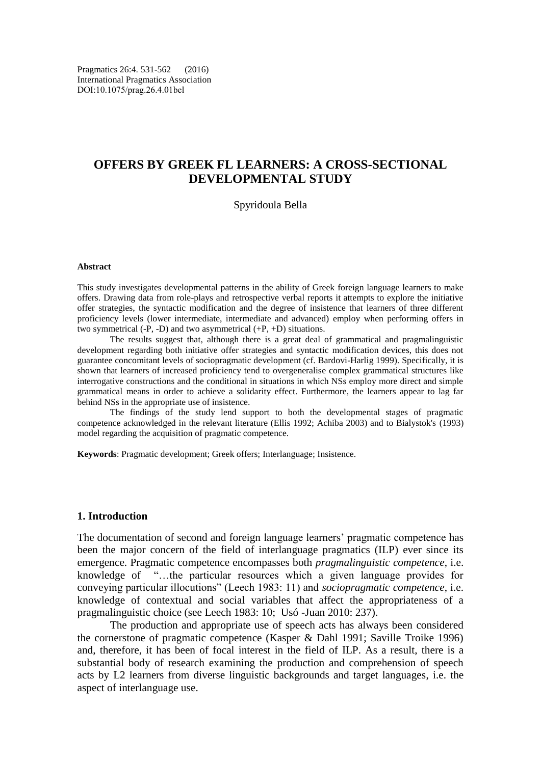# **OFFERS BY GREEK FL LEARNERS: A CROSS-SECTIONAL DEVELOPMENTAL STUDY**

#### Spyridoula Bella

#### **Abstract**

This study investigates developmental patterns in the ability of Greek foreign language learners to make offers. Drawing data from role-plays and retrospective verbal reports it attempts to explore the initiative offer strategies, the syntactic modification and the degree of insistence that learners of three different proficiency levels (lower intermediate, intermediate and advanced) employ when performing offers in two symmetrical  $(-P, -D)$  and two asymmetrical  $(+P, +D)$  situations.

The results suggest that, although there is a great deal of grammatical and pragmalinguistic development regarding both initiative offer strategies and syntactic modification devices, this does not guarantee concomitant levels of sociopragmatic development (cf. Bardovi-Harlig 1999). Specifically, it is shown that learners of increased proficiency tend to overgeneralise complex grammatical structures like interrogative constructions and the conditional in situations in which NSs employ more direct and simple grammatical means in order to achieve a solidarity effect. Furthermore, the learners appear to lag far behind NSs in the appropriate use of insistence.

The findings of the study lend support to both the developmental stages of pragmatic competence acknowledged in the relevant literature (Ellis 1992; Achiba 2003) and to Bialystok's (1993) model regarding the acquisition of pragmatic competence.

**Keywords**: Pragmatic development; Greek offers; Interlanguage; Insistence.

#### **1. Introduction**

The documentation of second and foreign language learners' pragmatic competence has been the major concern of the field of interlanguage pragmatics (ILP) ever since its emergence. Pragmatic competence encompasses both *pragmalinguistic competence*, i.e. knowledge of "…the particular resources which a given language provides for conveying particular illocutions" (Leech 1983: 11) and *sociopragmatic competence*, i.e. knowledge of contextual and social variables that affect the appropriateness of a pragmalinguistic choice (see Leech 1983: 10; Usó -Juan 2010: 237).

 The production and appropriate use of speech acts has always been considered the cornerstone of pragmatic competence (Kasper & Dahl 1991; Saville Troike 1996) and, therefore, it has been of focal interest in the field of ILP. As a result, there is a substantial body of research examining the production and comprehension of speech acts by L2 learners from diverse linguistic backgrounds and target languages, i.e. the aspect of interlanguage use.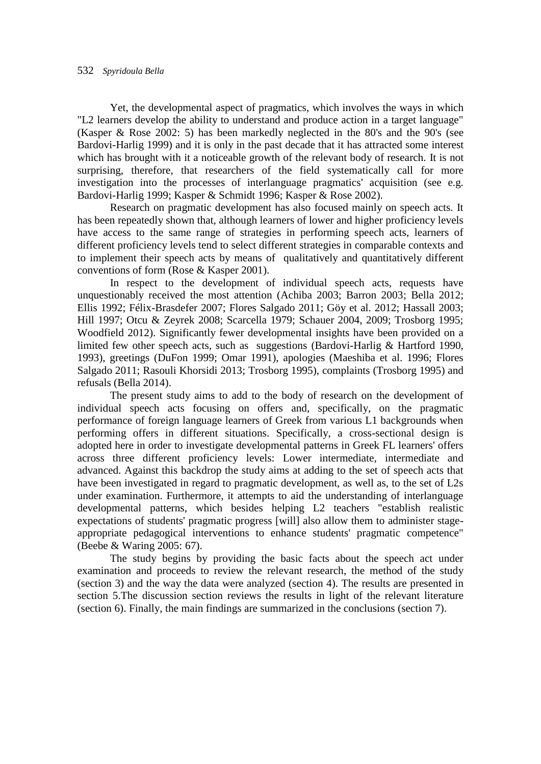Yet, the developmental aspect of pragmatics, which involves the ways in which "L2 learners develop the ability to understand and produce action in a target language" (Kasper & Rose 2002: 5) has been markedly neglected in the 80's and the 90's (see Bardovi-Harlig 1999) and it is only in the past decade that it has attracted some interest which has brought with it a noticeable growth of the relevant body of research. It is not surprising, therefore, that researchers of the field systematically call for more investigation into the processes of interlanguage pragmatics' acquisition (see e.g. Bardovi-Harlig 1999; Kasper & Schmidt 1996; Kasper & Rose 2002).

Research on pragmatic development has also focused mainly on speech acts. It has been repeatedly shown that, although learners of lower and higher proficiency levels have access to the same range of strategies in performing speech acts, learners of different proficiency levels tend to select different strategies in comparable contexts and to implement their speech acts by means of qualitatively and quantitatively different conventions of form (Rose & Kasper 2001).

In respect to the development of individual speech acts, requests have unquestionably received the most attention (Achiba 2003; Barron 2003; Bella 2012; Ellis 1992; Félix-Brasdefer 2007; Flores Salgado 2011; Göy et al. 2012; Hassall 2003; Hill 1997; Otcu & Zeyrek 2008; Scarcella 1979; Schauer 2004, 2009; Trosborg 1995; Woodfield 2012). Significantly fewer developmental insights have been provided on a limited few other speech acts, such as suggestions (Bardovi-Harlig & Hartford 1990, 1993), greetings (DuFon 1999; Omar 1991), apologies (Maeshiba et al. 1996; Flores Salgado 2011; Rasouli Khorsidi 2013; Trosborg 1995), complaints (Trosborg 1995) and refusals (Bella 2014).

The present study aims to add to the body of research on the development of individual speech acts focusing on offers and, specifically, on the pragmatic performance of foreign language learners of Greek from various L1 backgrounds when performing offers in different situations. Specifically, a cross-sectional design is adopted here in order to investigate developmental patterns in Greek FL learners' offers across three different proficiency levels: Lower intermediate, intermediate and advanced. Against this backdrop the study aims at adding to the set of speech acts that have been investigated in regard to pragmatic development, as well as, to the set of L2s under examination. Furthermore, it attempts to aid the understanding of interlanguage developmental patterns, which besides helping L2 teachers "establish realistic expectations of students' pragmatic progress [will] also allow them to administer stageappropriate pedagogical interventions to enhance students' pragmatic competence" (Beebe & Waring 2005: 67).

The study begins by providing the basic facts about the speech act under examination and proceeds to review the relevant research, the method of the study (section 3) and the way the data were analyzed (section 4). The results are presented in section 5.The discussion section reviews the results in light of the relevant literature (section 6). Finally, the main findings are summarized in the conclusions (section 7).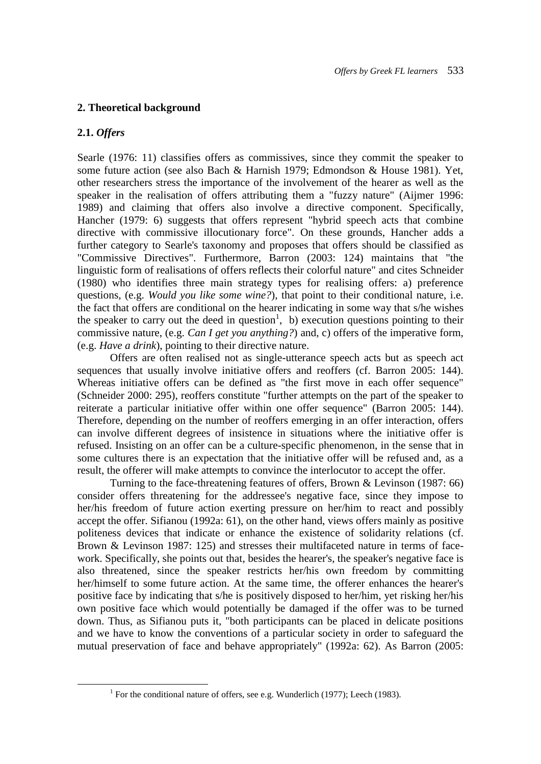### **2. Theoretical background**

### **2.1.** *Offers*

 $\overline{a}$ 

Searle (1976: 11) classifies offers as commissives, since they commit the speaker to some future action (see also Bach & Harnish 1979; Edmondson & House 1981). Yet, other researchers stress the importance of the involvement of the hearer as well as the speaker in the realisation of offers attributing them a "fuzzy nature" (Aijmer 1996: 1989) and claiming that offers also involve a directive component. Specifically, Hancher (1979: 6) suggests that offers represent "hybrid speech acts that combine directive with commissive illocutionary force". On these grounds, Hancher adds a further category to Searle's taxonomy and proposes that offers should be classified as "Commissive Directives". Furthermore, Barron (2003: 124) maintains that "the linguistic form of realisations of offers reflects their colorful nature" and cites Schneider (1980) who identifies three main strategy types for realising offers: a) preference questions*,* (e.g. *Would you like some wine?*)*,* that point to their conditional nature, i.e. the fact that offers are conditional on the hearer indicating in some way that s/he wishes the speaker to carry out the deed in question<sup>1</sup>, b) execution questions pointing to their commissive nature, (e.g. *Can I get you anything?*) and, c) offers of the imperative form, (e.g. *Have a drink*), pointing to their directive nature.

Offers are often realised not as single-utterance speech acts but as speech act sequences that usually involve initiative offers and reoffers (cf. Barron 2005: 144). Whereas initiative offers can be defined as "the first move in each offer sequence" (Schneider 2000: 295), reoffers constitute "further attempts on the part of the speaker to reiterate a particular initiative offer within one offer sequence" (Barron 2005: 144). Therefore, depending on the number of reoffers emerging in an offer interaction, offers can involve different degrees of insistence in situations where the initiative offer is refused. Insisting on an offer can be a culture-specific phenomenon, in the sense that in some cultures there is an expectation that the initiative offer will be refused and, as a result, the offerer will make attempts to convince the interlocutor to accept the offer.

Turning to the face-threatening features of offers, Brown & Levinson (1987: 66) consider offers threatening for the addressee's negative face, since they impose to her/his freedom of future action exerting pressure on her/him to react and possibly accept the offer. Sifianou (1992a: 61), on the other hand, views offers mainly as positive politeness devices that indicate or enhance the existence of solidarity relations (cf. Brown & Levinson 1987: 125) and stresses their multifaceted nature in terms of facework. Specifically, she points out that, besides the hearer's, the speaker's negative face is also threatened, since the speaker restricts her/his own freedom by committing her/himself to some future action. At the same time, the offerer enhances the hearer's positive face by indicating that s/he is positively disposed to her/him, yet risking her/his own positive face which would potentially be damaged if the offer was to be turned down. Thus, as Sifianou puts it, "both participants can be placed in delicate positions and we have to know the conventions of a particular society in order to safeguard the mutual preservation of face and behave appropriately" (1992a: 62). As Barron (2005:

<sup>&</sup>lt;sup>1</sup> For the conditional nature of offers, see e.g. Wunderlich (1977); Leech (1983).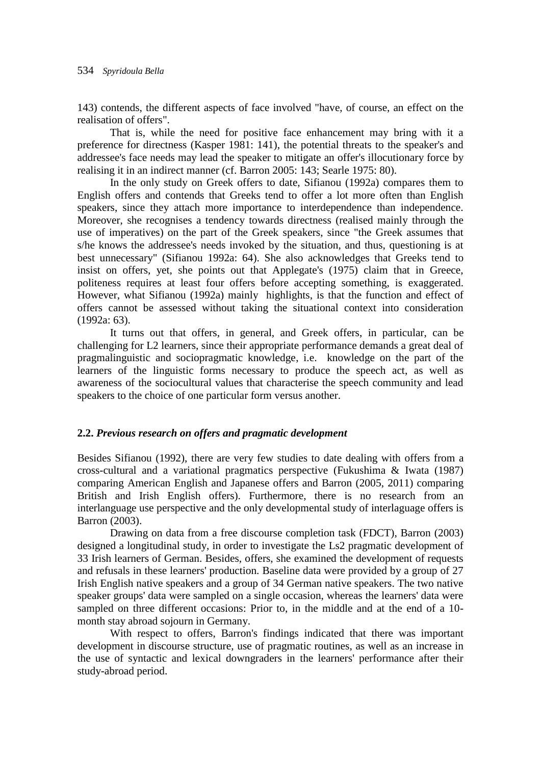143) contends, the different aspects of face involved "have, of course, an effect on the realisation of offers".

That is, while the need for positive face enhancement may bring with it a preference for directness (Kasper 1981: 141), the potential threats to the speaker's and addressee's face needs may lead the speaker to mitigate an offer's illocutionary force by realising it in an indirect manner (cf. Barron 2005: 143; Searle 1975: 80).

In the only study on Greek offers to date, Sifianou (1992a) compares them to English offers and contends that Greeks tend to offer a lot more often than English speakers, since they attach more importance to interdependence than independence. Moreover, she recognises a tendency towards directness (realised mainly through the use of imperatives) on the part of the Greek speakers, since "the Greek assumes that s/he knows the addressee's needs invoked by the situation, and thus, questioning is at best unnecessary" (Sifianou 1992a: 64). She also acknowledges that Greeks tend to insist on offers, yet, she points out that Applegate's (1975) claim that in Greece, politeness requires at least four offers before accepting something, is exaggerated. However, what Sifianou (1992a) mainly highlights, is that the function and effect of offers cannot be assessed without taking the situational context into consideration (1992a: 63).

It turns out that offers, in general, and Greek offers, in particular, can be challenging for L2 learners, since their appropriate performance demands a great deal of pragmalinguistic and sociopragmatic knowledge, i.e. knowledge on the part of the learners of the linguistic forms necessary to produce the speech act, as well as awareness of the sociocultural values that characterise the speech community and lead speakers to the choice of one particular form versus another.

### **2.2.** *Previous research on offers and pragmatic development*

Besides Sifianou (1992), there are very few studies to date dealing with offers from a cross-cultural and a variational pragmatics perspective (Fukushima & Iwata (1987) comparing American English and Japanese offers and Barron (2005, 2011) comparing British and Irish English offers). Furthermore, there is no research from an interlanguage use perspective and the only developmental study of interlaguage offers is Barron (2003).

Drawing on data from a free discourse completion task (FDCT), Barron (2003) designed a longitudinal study, in order to investigate the Ls2 pragmatic development of 33 Irish learners of German. Besides, offers, she examined the development of requests and refusals in these learners' production. Baseline data were provided by a group of 27 Irish English native speakers and a group of 34 German native speakers. The two native speaker groups' data were sampled on a single occasion, whereas the learners' data were sampled on three different occasions: Prior to, in the middle and at the end of a 10 month stay abroad sojourn in Germany.

With respect to offers, Barron's findings indicated that there was important development in discourse structure, use of pragmatic routines, as well as an increase in the use of syntactic and lexical downgraders in the learners' performance after their study-abroad period.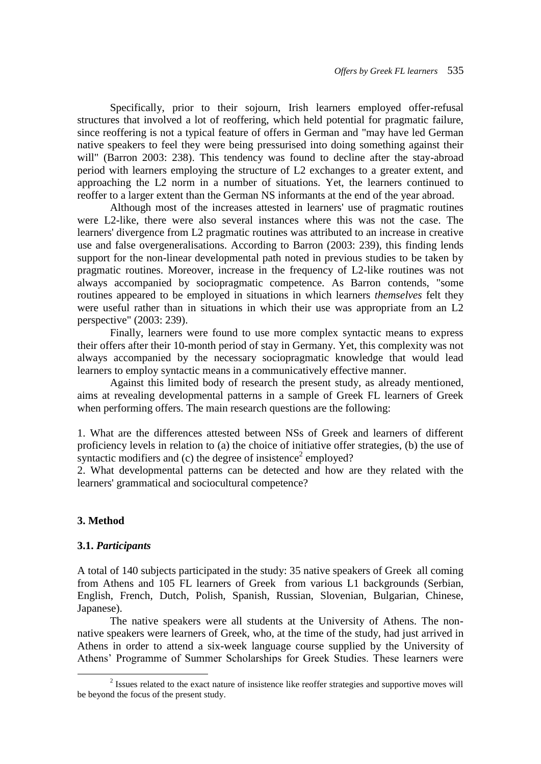Specifically, prior to their sojourn, Irish learners employed offer-refusal structures that involved a lot of reoffering, which held potential for pragmatic failure, since reoffering is not a typical feature of offers in German and "may have led German native speakers to feel they were being pressurised into doing something against their will" (Barron 2003: 238). This tendency was found to decline after the stay-abroad period with learners employing the structure of L2 exchanges to a greater extent, and approaching the L2 norm in a number of situations. Yet, the learners continued to reoffer to a larger extent than the German NS informants at the end of the year abroad.

Although most of the increases attested in learners' use of pragmatic routines were L2-like, there were also several instances where this was not the case. The learners' divergence from L2 pragmatic routines was attributed to an increase in creative use and false overgeneralisations. According to Barron (2003: 239), this finding lends support for the non-linear developmental path noted in previous studies to be taken by pragmatic routines. Moreover, increase in the frequency of L2-like routines was not always accompanied by sociopragmatic competence. As Barron contends, "some routines appeared to be employed in situations in which learners *themselves* felt they were useful rather than in situations in which their use was appropriate from an L2 perspective" (2003: 239).

Finally, learners were found to use more complex syntactic means to express their offers after their 10-month period of stay in Germany. Yet, this complexity was not always accompanied by the necessary sociopragmatic knowledge that would lead learners to employ syntactic means in a communicatively effective manner.

Against this limited body of research the present study, as already mentioned, aims at revealing developmental patterns in a sample of Greek FL learners of Greek when performing offers. The main research questions are the following:

1. What are the differences attested between NSs of Greek and learners of different proficiency levels in relation to (a) the choice of initiative offer strategies, (b) the use of syntactic modifiers and  $(c)$  the degree of insistence<sup>2</sup> employed?

2. What developmental patterns can be detected and how are they related with the learners' grammatical and sociocultural competence?

### **3. Method**

#### **3.1.** *Participants*

A total of 140 subjects participated in the study: 35 native speakers of Greek all coming from Athens and 105 FL learners of Greek from various L1 backgrounds (Serbian, English, French, Dutch, Polish, Spanish, Russian, Slovenian, Bulgarian, Chinese, Japanese).

The native speakers were all students at the University of Athens. The nonnative speakers were learners of Greek, who, at the time of the study, had just arrived in Athens in order to attend a six-week language course supplied by the University of Athens' Programme of Summer Scholarships for Greek Studies. These learners were

 $\overline{a}$  $2^{2}$  Issues related to the exact nature of insistence like reoffer strategies and supportive moves will be beyond the focus of the present study.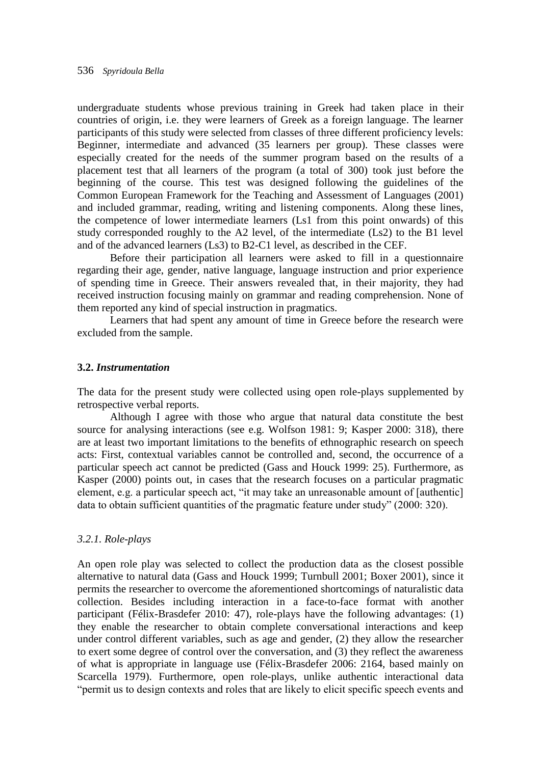undergraduate students whose previous training in Greek had taken place in their countries of origin, i.e. they were learners of Greek as a foreign language. The learner participants of this study were selected from classes of three different proficiency levels: Beginner, intermediate and advanced (35 learners per group). These classes were especially created for the needs of the summer program based on the results of a placement test that all learners of the program (a total of 300) took just before the beginning of the course. This test was designed following the guidelines of the Common European Framework for the Teaching and Assessment of Languages (2001) and included grammar, reading, writing and listening components. Along these lines, the competence of lower intermediate learners (Ls1 from this point onwards) of this study corresponded roughly to the A2 level, of the intermediate (Ls2) to the B1 level and of the advanced learners (Ls3) to B2-C1 level, as described in the CEF.

Before their participation all learners were asked to fill in a questionnaire regarding their age, gender, native language, language instruction and prior experience of spending time in Greece. Their answers revealed that, in their majority, they had received instruction focusing mainly on grammar and reading comprehension. None of them reported any kind of special instruction in pragmatics.

Learners that had spent any amount of time in Greece before the research were excluded from the sample.

### **3.2.** *Instrumentation*

The data for the present study were collected using open role-plays supplemented by retrospective verbal reports.

Although I agree with those who argue that natural data constitute the best source for analysing interactions (see e.g. Wolfson 1981: 9; Kasper 2000: 318), there are at least two important limitations to the benefits of ethnographic research on speech acts: First, contextual variables cannot be controlled and, second, the occurrence of a particular speech act cannot be predicted (Gass and Houck 1999: 25). Furthermore, as Kasper (2000) points out, in cases that the research focuses on a particular pragmatic element, e.g. a particular speech act, "it may take an unreasonable amount of [authentic] data to obtain sufficient quantities of the pragmatic feature under study" (2000: 320).

### *3.2.1. Role-plays*

An open role play was selected to collect the production data as the closest possible alternative to natural data (Gass and Houck 1999; Turnbull 2001; Boxer 2001), since it permits the researcher to overcome the aforementioned shortcomings of naturalistic data collection. Besides including interaction in a face-to-face format with another participant (Félix-Brasdefer 2010: 47), role-plays have the following advantages: (1) they enable the researcher to obtain complete conversational interactions and keep under control different variables, such as age and gender, (2) they allow the researcher to exert some degree of control over the conversation, and (3) they reflect the awareness of what is appropriate in language use (Félix-Brasdefer 2006: 2164, based mainly on Scarcella 1979). Furthermore, open role-plays, unlike authentic interactional data "permit us to design contexts and roles that are likely to elicit specific speech events and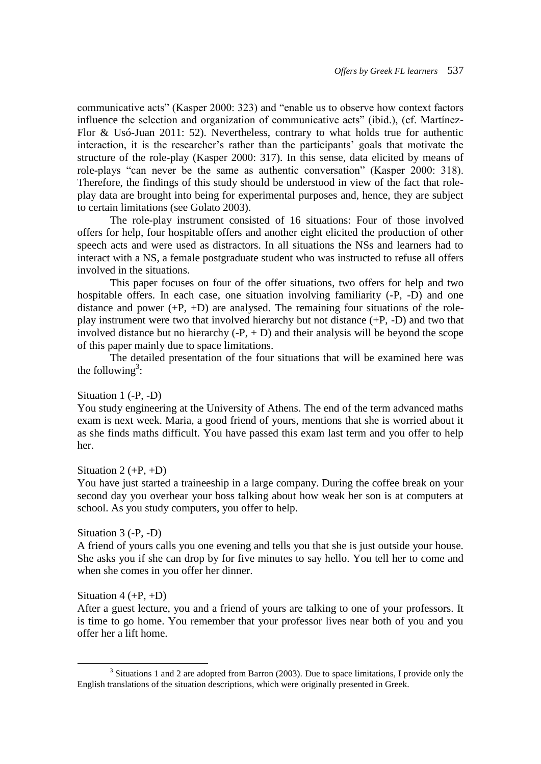communicative acts" (Kasper 2000: 323) and "enable us to observe how context factors influence the selection and organization of communicative acts" (ibid.), (cf. Martínez-Flor & Usó-Juan 2011: 52). Nevertheless, contrary to what holds true for authentic interaction, it is the researcher's rather than the participants' goals that motivate the structure of the role-play (Kasper 2000: 317). In this sense, data elicited by means of role-plays "can never be the same as authentic conversation" (Kasper 2000: 318). Therefore, the findings of this study should be understood in view of the fact that roleplay data are brought into being for experimental purposes and, hence, they are subject to certain limitations (see Golato 2003).

The role-play instrument consisted of 16 situations: Four of those involved offers for help, four hospitable offers and another eight elicited the production of other speech acts and were used as distractors. In all situations the NSs and learners had to interact with a NS, a female postgraduate student who was instructed to refuse all offers involved in the situations.

This paper focuses on four of the offer situations, two offers for help and two hospitable offers. In each case, one situation involving familiarity (-P, -D) and one distance and power  $(+P, +D)$  are analysed. The remaining four situations of the roleplay instrument were two that involved hierarchy but not distance (+P, -D) and two that involved distance but no hierarchy  $(-P, +D)$  and their analysis will be beyond the scope of this paper mainly due to space limitations.

The detailed presentation of the four situations that will be examined here was the following<sup>3</sup>:

Situation 1 (-P, -D)

You study engineering at the University of Athens. The end of the term advanced maths exam is next week. Maria, a good friend of yours, mentions that she is worried about it as she finds maths difficult. You have passed this exam last term and you offer to help her.

Situation 2  $(+P, +D)$ 

You have just started a traineeship in a large company. During the coffee break on your second day you overhear your boss talking about how weak her son is at computers at school. As you study computers, you offer to help.

#### Situation 3 (-P, -D)

A friend of yours calls you one evening and tells you that she is just outside your house. She asks you if she can drop by for five minutes to say hello. You tell her to come and when she comes in you offer her dinner.

#### Situation  $4 (+P, +D)$

 $\overline{\phantom{a}}$ 

After a guest lecture, you and a friend of yours are talking to one of your professors. It is time to go home. You remember that your professor lives near both of you and you offer her a lift home.

 $3$  Situations 1 and 2 are adopted from Barron (2003). Due to space limitations, I provide only the English translations of the situation descriptions, which were originally presented in Greek.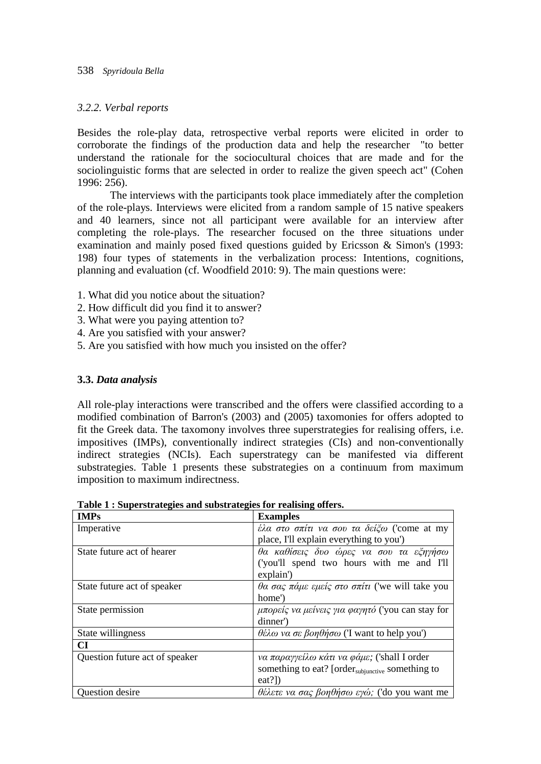### *3.2.2. Verbal reports*

Besides the role-play data, retrospective verbal reports were elicited in order to corroborate the findings of the production data and help the researcher "to better understand the rationale for the sociocultural choices that are made and for the sociolinguistic forms that are selected in order to realize the given speech act" (Cohen 1996: 256).

The interviews with the participants took place immediately after the completion of the role-plays. Interviews were elicited from a random sample of 15 native speakers and 40 learners, since not all participant were available for an interview after completing the role-plays. The researcher focused on the three situations under examination and mainly posed fixed questions guided by Ericsson & Simon's (1993: 198) four types of statements in the verbalization process: Intentions, cognitions, planning and evaluation (cf. Woodfield 2010: 9). The main questions were:

- 1. What did you notice about the situation?
- 2. How difficult did you find it to answer?
- 3. What were you paying attention to?
- 4. Are you satisfied with your answer?
- 5. Are you satisfied with how much you insisted on the offer?

## **3.3.** *Data analysis*

All role-play interactions were transcribed and the offers were classified according to a modified combination of Barron's (2003) and (2005) taxomonies for offers adopted to fit the Greek data. The taxomony involves three superstrategies for realising offers, i.e. impositives (IMPs), conventionally indirect strategies (CIs) and non-conventionally indirect strategies (NCIs). Each superstrategy can be manifested via different substrategies. Table 1 presents these substrategies on a continuum from maximum imposition to maximum indirectness.

| <b>IMPs</b>                    | <b>Examples</b>                                                                                                      |
|--------------------------------|----------------------------------------------------------------------------------------------------------------------|
| Imperative                     | έλα στο σπίτι να σου τα δείξω ('come at my<br>place, I'll explain everything to you')                                |
| State future act of hearer     | θα καθίσεις δυο ώρες να σου τα εξηγήσω<br>('you'll spend two hours with me and I'll<br>explain')                     |
| State future act of speaker    | θα σας πάμε εμείς στο σπίτι ('we will take you<br>home')                                                             |
| State permission               | μπορείς να μείνεις για φαγητό ('you can stay for<br>dinner')                                                         |
| State willingness              | θέλω να σε βοηθήσω ('I want to help you')                                                                            |
| CI                             |                                                                                                                      |
| Question future act of speaker | να παραγγείλω κάτι να φάμε; ('shall I order<br>something to eat? [order <sub>subjunctive</sub> something to<br>eat?) |
| Question desire                | θέλετε να σας βοηθήσω εγώ; ('do you want me                                                                          |

**Table 1 : Superstrategies and substrategies for realising offers.**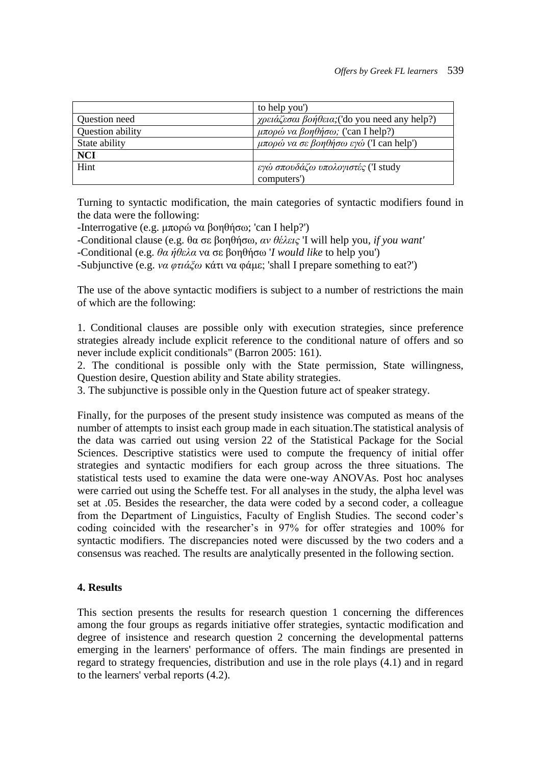|                  | to help you')                                |
|------------------|----------------------------------------------|
| Question need    | χρειάζεσαι βοήθεια; ('do you need any help?) |
| Question ability | μπορώ να βοηθήσω; ('can I help?)             |
| State ability    | μπορώ να σε βοηθήσω εγώ ('I can help')       |
| <b>NCI</b>       |                                              |
| Hint             | εγώ σπουδάζω υπολογιστές ('I study           |
|                  | computers')                                  |

Turning to syntactic modification, the main categories of syntactic modifiers found in the data were the following:

-Interrogative (e.g. μπορώ να βοηθήσω; 'can I help?')

-Conditional clause (e.g. θα σε βοηθήσω, *αν θέλεις* 'I will help you, *if you want'*

-Conditional (e.g. *θα ήθελα* να σε βοηθήσω '*I would like* to help you')

-Subjunctive (e.g. *να φτιάξω* κάτι να φάμε; 'shall I prepare something to eat?')

The use of the above syntactic modifiers is subject to a number of restrictions the main of which are the following:

1. Conditional clauses are possible only with execution strategies, since preference strategies already include explicit reference to the conditional nature of offers and so never include explicit conditionals" (Barron 2005: 161).

2. The conditional is possible only with the State permission, State willingness, Question desire, Question ability and State ability strategies.

3. The subjunctive is possible only in the Question future act of speaker strategy.

Finally, for the purposes of the present study insistence was computed as means of the number of attempts to insist each group made in each situation.The statistical analysis of the data was carried out using version 22 of the Statistical Package for the Social Sciences. Descriptive statistics were used to compute the frequency of initial offer strategies and syntactic modifiers for each group across the three situations. The statistical tests used to examine the data were one-way ANOVAs. Post hoc analyses were carried out using the Scheffe test. For all analyses in the study, the alpha level was set at .05. Besides the researcher, the data were coded by a second coder, a colleague from the Department of Linguistics, Faculty of English Studies. The second coder's coding coincided with the researcher's in 97% for offer strategies and 100% for syntactic modifiers. The discrepancies noted were discussed by the two coders and a consensus was reached. The results are analytically presented in the following section.

#### **4. Results**

This section presents the results for research question 1 concerning the differences among the four groups as regards initiative offer strategies, syntactic modification and degree of insistence and research question 2 concerning the developmental patterns emerging in the learners' performance of offers. The main findings are presented in regard to strategy frequencies, distribution and use in the role plays (4.1) and in regard to the learners' verbal reports (4.2).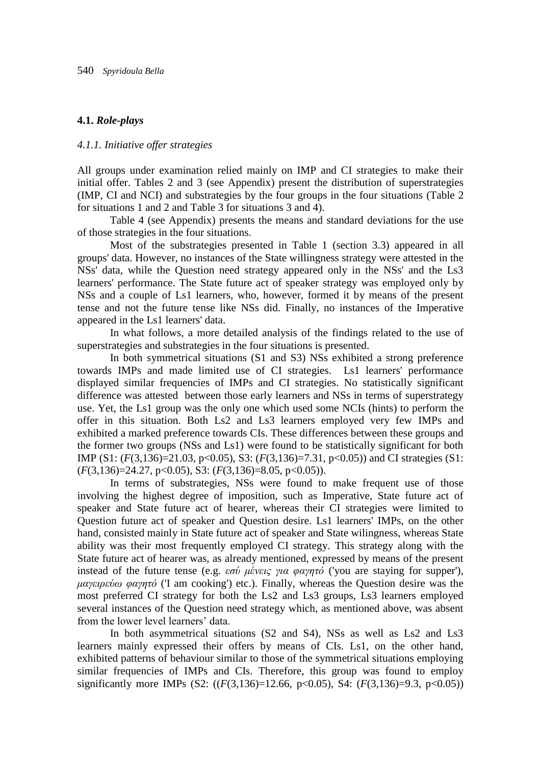### **4.1.** *Role-plays*

#### *4.1.1. Initiative offer strategies*

All groups under examination relied mainly on IMP and CI strategies to make their initial offer. Tables 2 and 3 (see Appendix) present the distribution of superstrategies (IMP, CI and NCI) and substrategies by the four groups in the four situations (Table 2 for situations 1 and 2 and Table 3 for situations 3 and 4).

Table 4 (see Appendix) presents the means and standard deviations for the use of those strategies in the four situations.

Most of the substrategies presented in Table 1 (section 3.3) appeared in all groups' data. However, no instances of the State willingness strategy were attested in the NSs' data, while the Question need strategy appeared only in the NSs' and the Ls3 learners' performance. The State future act of speaker strategy was employed only by NSs and a couple of Ls1 learners, who, however, formed it by means of the present tense and not the future tense like NSs did. Finally, no instances of the Imperative appeared in the Ls1 learners' data.

In what follows, a more detailed analysis of the findings related to the use of superstrategies and substrategies in the four situations is presented.

In both symmetrical situations (S1 and S3) NSs exhibited a strong preference towards IMPs and made limited use of CI strategies. Ls1 learners' performance displayed similar frequencies of IMPs and CI strategies. No statistically significant difference was attested between those early learners and NSs in terms of superstrategy use. Yet, the Ls1 group was the only one which used some NCIs (hints) to perform the offer in this situation*.* Both Ls2 and Ls3 learners employed very few IMPs and exhibited a marked preference towards CIs. These differences between these groups and the former two groups (NSs and Ls1) were found to be statistically significant for both IMP (S1: (*F*(3,136)=21.03, p<0.05), S3: (*F*(3,136)=7.31, p<0.05)) and CI strategies (S1: (*F*(3,136)=24.27, p<0.05), S3: (*F*(3,136)=8.05, p<0.05)).

In terms of substrategies, NSs were found to make frequent use of those involving the highest degree of imposition, such as Imperative, State future act of speaker and State future act of hearer, whereas their CI strategies were limited to Question future act of speaker and Question desire. Ls1 learners' IMPs, on the other hand, consisted mainly in State future act of speaker and State wilingness, whereas State ability was their most frequently employed CI strategy. This strategy along with the State future act of hearer was, as already mentioned, expressed by means of the present instead of the future tense (e.g. *εσύ μένεις για φαγητό* ('you are staying for supper')*, μαγειρεύω φαγητό* ('I am cooking') etc.). Finally, whereas the Question desire was the most preferred CI strategy for both the Ls2 and Ls3 groups, Ls3 learners employed several instances of the Question need strategy which, as mentioned above, was absent from the lower level learners' data.

In both asymmetrical situations (S2 and S4), NSs as well as Ls2 and Ls3 learners mainly expressed their offers by means of CIs. Ls1, on the other hand, exhibited patterns of behaviour similar to those of the symmetrical situations employing similar frequencies of IMPs and CIs. Therefore, this group was found to employ significantly more IMPs  $(S2: ((F(3,136)=12.66, p<0.05), S4: (F(3,136)=9.3, p<0.05))$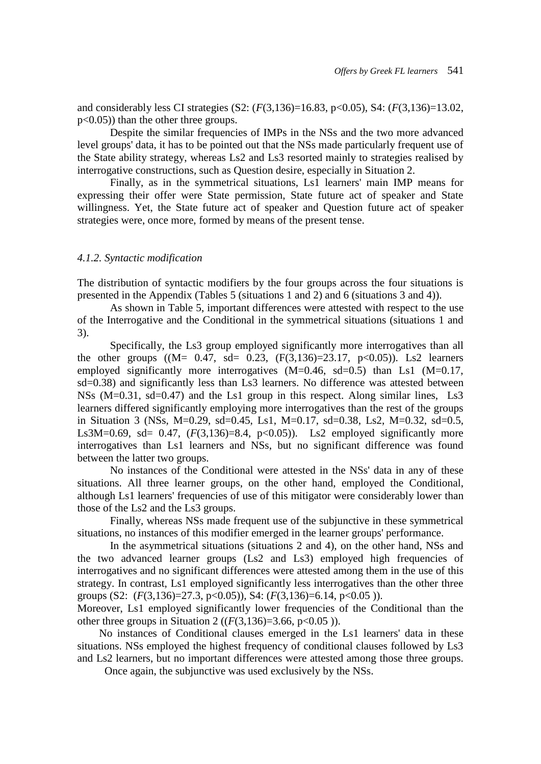and considerably less CI strategies (S2: (*F*(3,136)=16.83, p<0.05), S4: (*F*(3,136)=13.02, p<0.05)) than the other three groups.

Despite the similar frequencies of IMPs in the NSs and the two more advanced level groups' data, it has to be pointed out that the NSs made particularly frequent use of the State ability strategy, whereas Ls2 and Ls3 resorted mainly to strategies realised by interrogative constructions, such as Question desire, especially in Situation 2.

Finally, as in the symmetrical situations, Ls1 learners' main IMP means for expressing their offer were State permission, State future act of speaker and State willingness. Yet, the State future act of speaker and Question future act of speaker strategies were, once more, formed by means of the present tense.

#### *4.1.2. Syntactic modification*

The distribution of syntactic modifiers by the four groups across the four situations is presented in the Appendix (Tables 5 (situations 1 and 2) and 6 (situations 3 and 4)).

As shown in Table 5, important differences were attested with respect to the use of the Interrogative and the Conditional in the symmetrical situations (situations 1 and 3).

Specifically, the Ls3 group employed significantly more interrogatives than all the other groups  $((M = 0.47, sd = 0.23, (F(3,136)=23.17, p<0.05))$ . Ls2 learners employed significantly more interrogatives  $(M=0.46, sd=0.5)$  than Ls1  $(M=0.17,$ sd=0.38) and significantly less than Ls3 learners. No difference was attested between NSs (M=0.31, sd=0.47) and the Ls1 group in this respect. Along similar lines, Ls3 learners differed significantly employing more interrogatives than the rest of the groups in Situation 3 (NSs, M=0.29, sd=0.45, Ls1, M=0.17, sd=0.38, Ls2, M=0.32, sd=0.5, Ls3M=0.69, sd= 0.47,  $(F(3,136)=8.4, p<0.05)$ ). Ls2 employed significantly more interrogatives than Ls1 learners and NSs, but no significant difference was found between the latter two groups.

No instances of the Conditional were attested in the NSs' data in any of these situations. All three learner groups, on the other hand, employed the Conditional, although Ls1 learners' frequencies of use of this mitigator were considerably lower than those of the Ls2 and the Ls3 groups.

Finally, whereas NSs made frequent use of the subjunctive in these symmetrical situations, no instances of this modifier emerged in the learner groups' performance.

In the asymmetrical situations (situations 2 and 4), on the other hand, NSs and the two advanced learner groups (Ls2 and Ls3) employed high frequencies of interrogatives and no significant differences were attested among them in the use of this strategy. In contrast, Ls1 employed significantly less interrogatives than the other three groups (S2: (*F*(3,136)=27.3, p<0.05)), S4: (*F*(3,136)=6.14, p<0.05 )).

Moreover, Ls1 employed significantly lower frequencies of the Conditional than the other three groups in Situation 2 ( $(F(3,136)=3.66, p<0.05)$ ).

 No instances of Conditional clauses emerged in the Ls1 learners' data in these situations. NSs employed the highest frequency of conditional clauses followed by Ls3 and Ls2 learners, but no important differences were attested among those three groups.

Once again, the subjunctive was used exclusively by the NSs.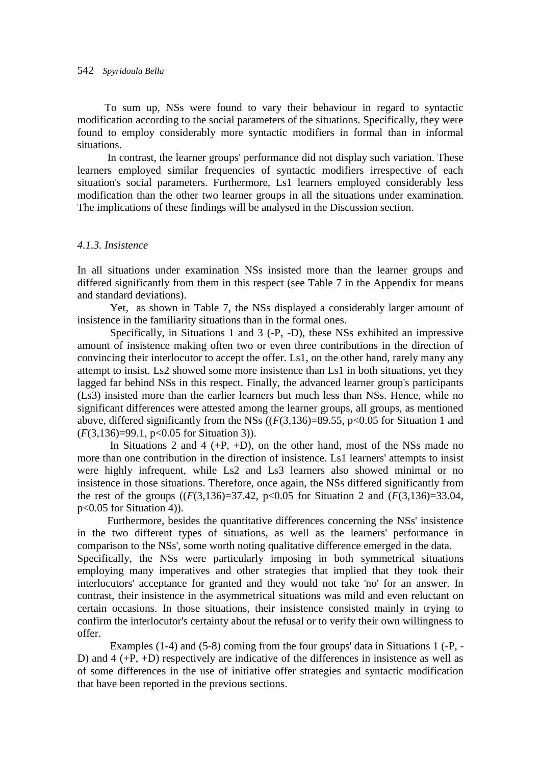To sum up, NSs were found to vary their behaviour in regard to syntactic modification according to the social parameters of the situations. Specifically, they were found to employ considerably more syntactic modifiers in formal than in informal situations.

 In contrast, the learner groups' performance did not display such variation. These learners employed similar frequencies of syntactic modifiers irrespective of each situation's social parameters. Furthermore, Ls1 learners employed considerably less modification than the other two learner groups in all the situations under examination. The implications of these findings will be analysed in the Discussion section.

### *4.1.3. Insistence*

In all situations under examination NSs insisted more than the learner groups and differed significantly from them in this respect (see Table 7 in the Appendix for means and standard deviations).

Yet, as shown in Table 7, the NSs displayed a considerably larger amount of insistence in the familiarity situations than in the formal ones.

Specifically, in Situations 1 and 3 (-P, -D), these NSs exhibited an impressive amount of insistence making often two or even three contributions in the direction of convincing their interlocutor to accept the offer. Ls1, on the other hand, rarely many any attempt to insist. Ls2 showed some more insistence than Ls1 in both situations, yet they lagged far behind NSs in this respect. Finally, the advanced learner group's participants (Ls3) insisted more than the earlier learners but much less than NSs. Hence, while no significant differences were attested among the learner groups, all groups, as mentioned above, differed significantly from the NSs  $((F(3,136)=89.55, p<0.05$  for Situation 1 and (*F*(3,136)=99.1, p<0.05 for Situation 3)).

In Situations 2 and 4  $(+P, +D)$ , on the other hand, most of the NSs made no more than one contribution in the direction of insistence. Ls1 learners' attempts to insist were highly infrequent, while Ls2 and Ls3 learners also showed minimal or no insistence in those situations. Therefore, once again, the NSs differed significantly from the rest of the groups  $((F(3,136)=37.42, p<0.05$  for Situation 2 and  $(F(3,136)=33.04, p<0.05$ p<0.05 for Situation 4)).

 Furthermore, besides the quantitative differences concerning the NSs' insistence in the two different types of situations, as well as the learners' performance in comparison to the NSs', some worth noting qualitative difference emerged in the data. Specifically, the NSs were particularly imposing in both symmetrical situations employing many imperatives and other strategies that implied that they took their interlocutors' acceptance for granted and they would not take 'no' for an answer. In contrast, their insistence in the asymmetrical situations was mild and even reluctant on certain occasions. In those situations, their insistence consisted mainly in trying to confirm the interlocutor's certainty about the refusal or to verify their own willingness to offer.

 Examples (1-4) and (5-8) coming from the four groups' data in Situations 1 (-P, - D) and 4 (+P, +D) respectively are indicative of the differences in insistence as well as of some differences in the use of initiative offer strategies and syntactic modification that have been reported in the previous sections.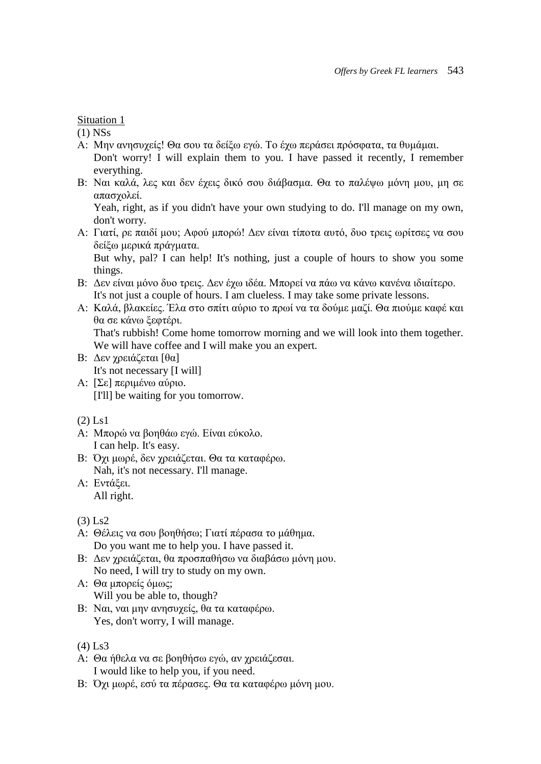Situation 1

(1) NSs

Α: Μην ανησυχείς! Θα σου τα δείξω εγώ. Το έχω περάσει πρόσφατα, τα θυμάμαι.

Don't worry! I will explain them to you. I have passed it recently, I remember everything.

Β: Ναι καλά, λες και δεν έχεις δικό σου διάβασμα. Θα το παλέψω μόνη μου, μη σε απασχολεί.

Yeah, right, as if you didn't have your own studying to do. I'll manage on my own, don't worry.

Α: Γιατί, ρε παιδί μου; Αφού μπορώ! Δεν είναι τίποτα αυτό, δυο τρεις ωρίτσες να σου δείξω μερικά πράγματα. But why, pal? I can help! It's nothing, just a couple of hours to show you some

things.

- Β: Δεν είναι μόνο δυο τρεις. Δεν έχω ιδέα. Μπορεί να πάω να κάνω κανένα ιδιαίτερο. It's not just a couple of hours. I am clueless. I may take some private lessons.
- Α: Καλά, βλακείες. Έλα στο σπίτι αύριο το πρωί να τα δούμε μαζί. Θα πιούμε καφέ και θα σε κάνω ξεφτέρι.

That's rubbish! Come home tomorrow morning and we will look into them together. We will have coffee and I will make you an expert.

- Β: Δεν χρειάζεται [θα] It's not necessary [I will]
- Α: [Σε] περιμένω αύριο. [I'll] be waiting for you tomorrow.

- A: Μπορώ να βοηθάω εγώ. Είναι εύκολο. I can help. It's easy.
- Β: Όχι μωρέ, δεν χρειάζεται. Θα τα καταφέρω. Nah, it's not necessary. I'll manage.
- Α: Εντάξει. All right.

- A: Θέλεις να σου βοηθήσω; Γιατί πέρασα το μάθημα. Do you want me to help you. I have passed it.
- Β: Δεν χρειάζεται, θα προσπαθήσω να διαβάσω μόνη μου. No need, I will try to study on my own.
- Α: Θα μπορείς όμως; Will you be able to, though?
- Β: Ναι, ναι μην ανησυχείς, θα τα καταφέρω. Yes, don't worry, I will manage.
- (4) Ls3
- A: Θα ήθελα να σε βοηθήσω εγώ, αν χρειάζεσαι. I would like to help you, if you need.
- Β: Όχι μωρέ, εσύ τα πέρασες. Θα τα καταφέρω μόνη μου.

<sup>(2)</sup> Ls1

<sup>(3)</sup> Ls2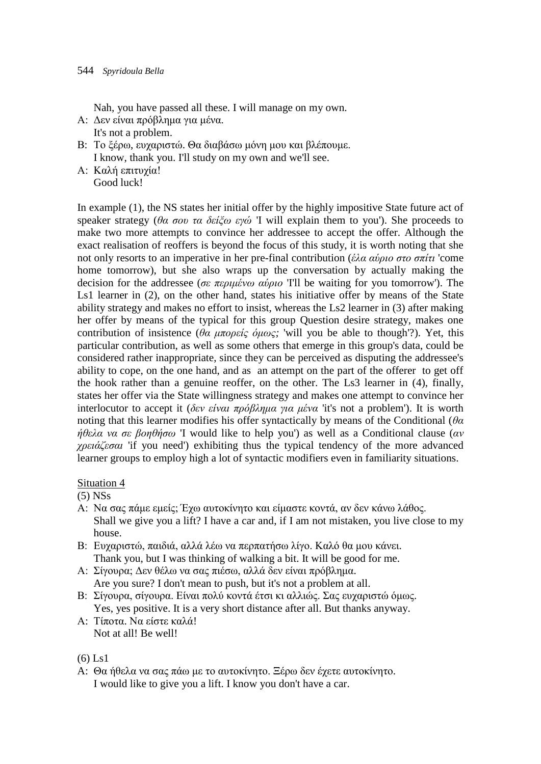Nah, you have passed all these. I will manage on my own.

- Α: Δεν είναι πρόβλημα για μένα.
- It's not a problem. Β: Το ξέρω, ευχαριστώ. Θα διαβάσω μόνη μου και βλέπουμε. I know, thank you. I'll study on my own and we'll see.
- Α: Καλή επιτυχία! Good luck!

In example (1), the NS states her initial offer by the highly impositive State future act of speaker strategy (*θα σου τα δείξω εγώ* 'I will explain them to you'). She proceeds to make two more attempts to convince her addressee to accept the offer. Although the exact realisation of reoffers is beyond the focus of this study, it is worth noting that she not only resorts to an imperative in her pre-final contribution (*έλα αύριο στο σπίτι* 'come home tomorrow), but she also wraps up the conversation by actually making the decision for the addressee (*σε περιμένω αύριο* 'I'll be waiting for you tomorrow'). The Ls1 learner in (2), on the other hand, states his initiative offer by means of the State ability strategy and makes no effort to insist, whereas the Ls2 learner in (3) after making her offer by means of the typical for this group Question desire strategy, makes one contribution of insistence (*θα μπορείς όμως;* 'will you be able to though'?). Yet, this particular contribution, as well as some others that emerge in this group's data, could be considered rather inappropriate, since they can be perceived as disputing the addressee's ability to cope, on the one hand, and as an attempt on the part of the offerer to get off the hook rather than a genuine reoffer, on the other. The Ls3 learner in (4), finally, states her offer via the State willingness strategy and makes one attempt to convince her interlocutor to accept it (*δεν είναι πρόβλημα για μένα* 'it's not a problem'). It is worth noting that this learner modifies his offer syntactically by means of the Conditional (*θα ήθελα να σε βοηθήσω* 'I would like to help you') as well as a Conditional clause (*αν χρειάζεσαι* 'if you need') exhibiting thus the typical tendency of the more advanced learner groups to employ high a lot of syntactic modifiers even in familiarity situations.

### Situation 4

- (5) NSs
- Α: Να σας πάμε εμείς; Έχω αυτοκίνητο και είμαστε κοντά, αν δεν κάνω λάθος. Shall we give you a lift? I have a car and, if I am not mistaken, you live close to my house.
- Β: Ευχαριστώ, παιδιά, αλλά λέω να περπατήσω λίγο. Καλό θα μου κάνει. Thank you, but I was thinking of walking a bit. It will be good for me.
- Α: Σίγουρα; Δεν θέλω να σας πιέσω, αλλά δεν είναι πρόβλημα. Are you sure? I don't mean to push, but it's not a problem at all.
- Β: Σίγουρα, σίγουρα. Είναι πολύ κοντά έτσι κι αλλιώς. Σας ευχαριστώ όμως. Yes, yes positive. It is a very short distance after all. But thanks anyway.
- Α: Τίποτα. Να είστε καλά! Not at all! Be well!

## (6) Ls1

A: Θα ήθελα να σας πάω με το αυτοκίνητο. Ξέρω δεν έχετε αυτοκίνητο. I would like to give you a lift. I know you don't have a car.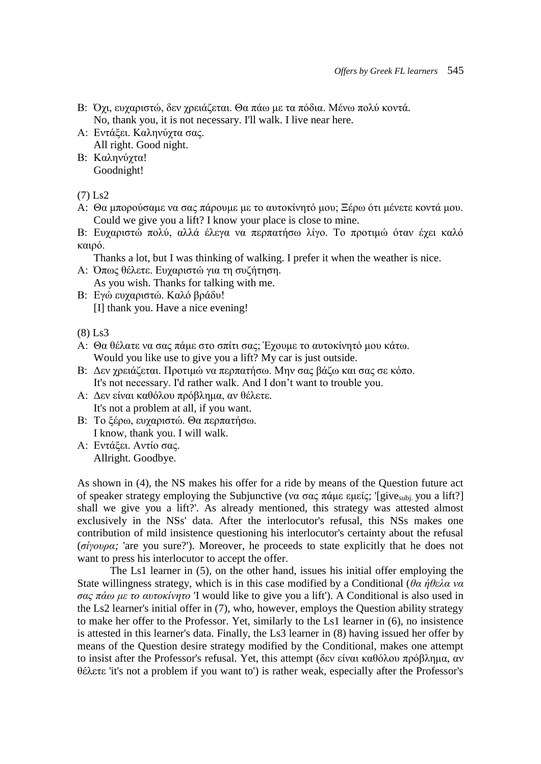- Β: Όχι, ευχαριστώ, δεν χρειάζεται. Θα πάω με τα πόδια. Μένω πολύ κοντά. No, thank you, it is not necessary. I'll walk. I live near here.
- Α: Εντάξει. Καληνύχτα σας. All right. Good night.
- Β: Καληνύχτα! Goodnight!
- (7) Ls2
- A: Θα μπορούσαμε να σας πάρουμε με το αυτοκίνητό μου; Ξέρω ότι μένετε κοντά μου. Could we give you a lift? I know your place is close to mine.

Β: Ευχαριστώ πολύ, αλλά έλεγα να περπατήσω λίγο. Το προτιμώ όταν έχει καλό καιρό.

Thanks a lot, but I was thinking of walking. I prefer it when the weather is nice.

- Α: Όπως θέλετε. Ευχαριστώ για τη συζήτηση. As you wish. Thanks for talking with me.
- Β: Εγώ ευχαριστώ. Καλό βράδυ! [I] thank you. Have a nice evening!

(8) Ls3

- Α: Θα θέλατε να σας πάμε στο σπίτι σας; Έχουμε το αυτοκίνητό μου κάτω. Would you like use to give you a lift? My car is just outside.
- Β: Δεν χρειάζεται. Προτιμώ να περπατήσω. Μην σας βάζω και σας σε κόπο. It's not necessary. I'd rather walk. And I don't want to trouble you.
- Α: Δεν είναι καθόλου πρόβλημα, αν θέλετε. It's not a problem at all, if you want.
- Β: Το ξέρω, ευχαριστώ. Θα περπατήσω. I know, thank you. I will walk.
- Α: Εντάξει. Αντίο σας. Allright. Goodbye.

As shown in (4), the NS makes his offer for a ride by means of the Question future act of speaker strategy employing the Subjunctive (να σας πάμε εμείς; '[give<sub>subi</sub> you a lift?] shall we give you a lift?'. As already mentioned, this strategy was attested almost exclusively in the NSs' data. After the interlocutor's refusal, this NSs makes one contribution of mild insistence questioning his interlocutor's certainty about the refusal (*σίγουρα;* 'are you sure?'). Moreover, he proceeds to state explicitly that he does not want to press his interlocutor to accept the offer.

The Ls1 learner in (5), on the other hand, issues his initial offer employing the State willingness strategy, which is in this case modified by a Conditional (*θα ήθελα να σας πάω με το αυτοκίνητο* 'I would like to give you a lift'). A Conditional is also used in the Ls2 learner's initial offer in (7), who, however, employs the Question ability strategy to make her offer to the Professor. Yet, similarly to the Ls1 learner in (6), no insistence is attested in this learner's data. Finally, the Ls3 learner in (8) having issued her offer by means of the Question desire strategy modified by the Conditional, makes one attempt to insist after the Professor's refusal. Yet, this attempt (δεν είναι καθόλου πρόβλημα, αν θέλετε 'it's not a problem if you want to') is rather weak, especially after the Professor's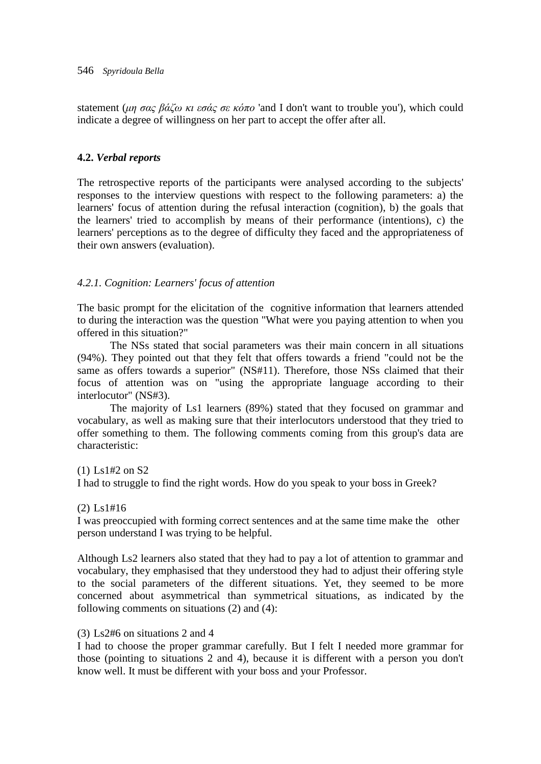statement (*μη σας βάζω κι εσάς σε κόπο* 'and I don't want to trouble you'), which could indicate a degree of willingness on her part to accept the offer after all.

### **4.2.** *Verbal reports*

The retrospective reports of the participants were analysed according to the subjects' responses to the interview questions with respect to the following parameters: a) the learners' focus of attention during the refusal interaction (cognition), b) the goals that the learners' tried to accomplish by means of their performance (intentions), c) the learners' perceptions as to the degree of difficulty they faced and the appropriateness of their own answers (evaluation).

### *4.2.1. Cognition: Learners' focus of attention*

The basic prompt for the elicitation of the cognitive information that learners attended to during the interaction was the question "What were you paying attention to when you offered in this situation?"

The NSs stated that social parameters was their main concern in all situations (94%). They pointed out that they felt that offers towards a friend "could not be the same as offers towards a superior" (NS#11). Therefore, those NSs claimed that their focus of attention was on "using the appropriate language according to their interlocutor" (NS#3).

The majority of Ls1 learners (89%) stated that they focused on grammar and vocabulary, as well as making sure that their interlocutors understood that they tried to offer something to them. The following comments coming from this group's data are characteristic:

### (1) Ls1#2 on S2

I had to struggle to find the right words. How do you speak to your boss in Greek?

### (2) Ls1#16

I was preoccupied with forming correct sentences and at the same time make the other person understand I was trying to be helpful.

Although Ls2 learners also stated that they had to pay a lot of attention to grammar and vocabulary, they emphasised that they understood they had to adjust their offering style to the social parameters of the different situations. Yet, they seemed to be more concerned about asymmetrical than symmetrical situations, as indicated by the following comments on situations (2) and (4):

#### (3) Ls2#6 on situations 2 and 4

I had to choose the proper grammar carefully. But I felt I needed more grammar for those (pointing to situations 2 and 4), because it is different with a person you don't know well. It must be different with your boss and your Professor.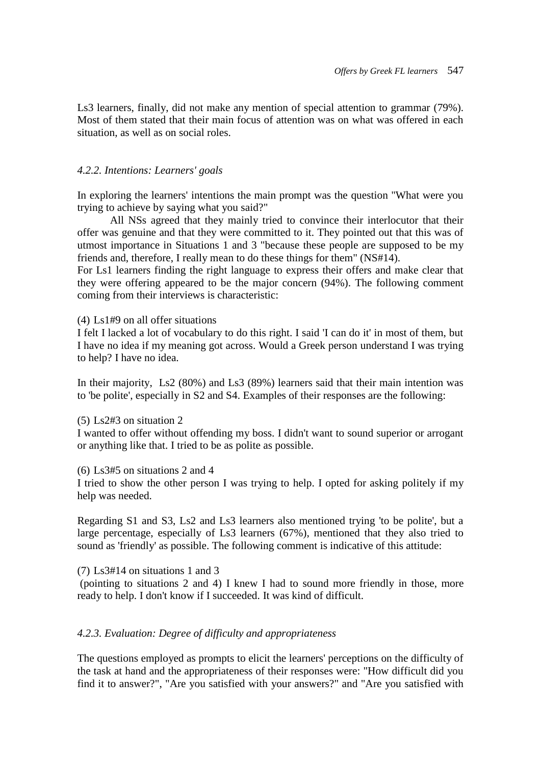Ls3 learners, finally, did not make any mention of special attention to grammar (79%). Most of them stated that their main focus of attention was on what was offered in each situation, as well as on social roles.

### *4.2.2. Intentions: Learners' goals*

In exploring the learners' intentions the main prompt was the question "What were you trying to achieve by saying what you said?"

All NSs agreed that they mainly tried to convince their interlocutor that their offer was genuine and that they were committed to it. They pointed out that this was of utmost importance in Situations 1 and 3 "because these people are supposed to be my friends and, therefore, I really mean to do these things for them" (NS#14).

For Ls1 learners finding the right language to express their offers and make clear that they were offering appeared to be the major concern (94%). The following comment coming from their interviews is characteristic:

#### (4) Ls1#9 on all offer situations

I felt I lacked a lot of vocabulary to do this right. I said 'I can do it' in most of them, but I have no idea if my meaning got across. Would a Greek person understand I was trying to help? I have no idea.

In their majority, Ls2 (80%) and Ls3 (89%) learners said that their main intention was to 'be polite', especially in S2 and S4. Examples of their responses are the following:

#### (5) Ls2#3 on situation 2

I wanted to offer without offending my boss. I didn't want to sound superior or arrogant or anything like that. I tried to be as polite as possible.

#### (6) Ls3#5 on situations 2 and 4

I tried to show the other person I was trying to help. I opted for asking politely if my help was needed.

Regarding S1 and S3, Ls2 and Ls3 learners also mentioned trying 'to be polite', but a large percentage, especially of Ls3 learners (67%), mentioned that they also tried to sound as 'friendly' as possible. The following comment is indicative of this attitude:

### (7) Ls3#14 on situations 1 and 3

(pointing to situations 2 and 4) I knew I had to sound more friendly in those, more ready to help. I don't know if I succeeded. It was kind of difficult.

### *4.2.3. Evaluation: Degree of difficulty and appropriateness*

The questions employed as prompts to elicit the learners' perceptions on the difficulty of the task at hand and the appropriateness of their responses were: "How difficult did you find it to answer?", "Are you satisfied with your answers?" and "Are you satisfied with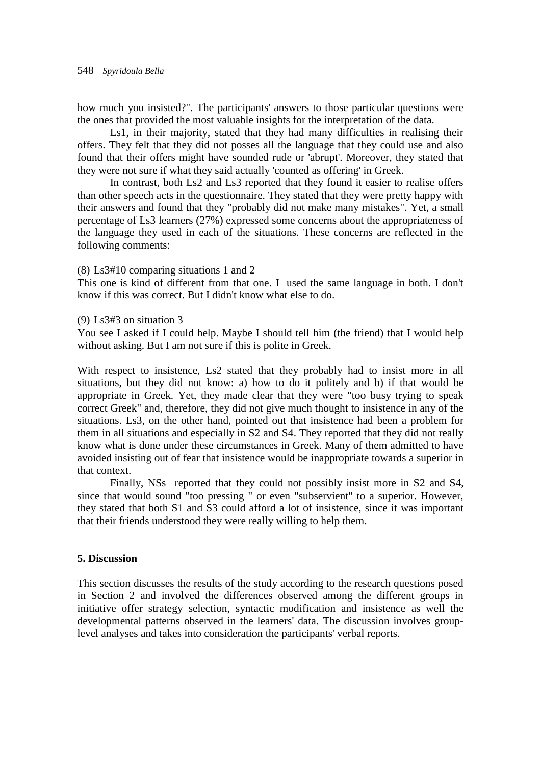how much you insisted?". The participants' answers to those particular questions were the ones that provided the most valuable insights for the interpretation of the data.

Ls1, in their majority, stated that they had many difficulties in realising their offers. They felt that they did not posses all the language that they could use and also found that their offers might have sounded rude or 'abrupt'. Moreover, they stated that they were not sure if what they said actually 'counted as offering' in Greek.

In contrast, both Ls2 and Ls3 reported that they found it easier to realise offers than other speech acts in the questionnaire. They stated that they were pretty happy with their answers and found that they "probably did not make many mistakes". Yet, a small percentage of Ls3 learners (27%) expressed some concerns about the appropriateness of the language they used in each of the situations. These concerns are reflected in the following comments:

(8) Ls3#10 comparing situations 1 and 2

This one is kind of different from that one. I used the same language in both. I don't know if this was correct. But I didn't know what else to do.

(9) Ls3#3 on situation 3

You see I asked if I could help. Maybe I should tell him (the friend) that I would help without asking. But I am not sure if this is polite in Greek.

With respect to insistence, Ls2 stated that they probably had to insist more in all situations, but they did not know: a) how to do it politely and b) if that would be appropriate in Greek. Yet, they made clear that they were "too busy trying to speak correct Greek" and, therefore, they did not give much thought to insistence in any of the situations. Ls3, on the other hand, pointed out that insistence had been a problem for them in all situations and especially in S2 and S4. They reported that they did not really know what is done under these circumstances in Greek. Many of them admitted to have avoided insisting out of fear that insistence would be inappropriate towards a superior in that context.

Finally, NSs reported that they could not possibly insist more in S2 and S4, since that would sound "too pressing " or even "subservient" to a superior. However, they stated that both S1 and S3 could afford a lot of insistence, since it was important that their friends understood they were really willing to help them.

### **5. Discussion**

This section discusses the results of the study according to the research questions posed in Section 2 and involved the differences observed among the different groups in initiative offer strategy selection, syntactic modification and insistence as well the developmental patterns observed in the learners' data. The discussion involves grouplevel analyses and takes into consideration the participants' verbal reports.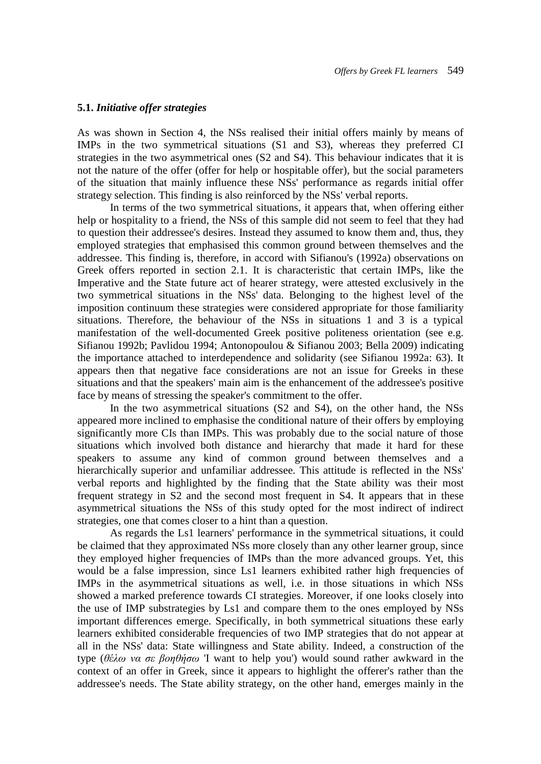#### **5.1.** *Initiative offer strategies*

As was shown in Section 4, the NSs realised their initial offers mainly by means of IMPs in the two symmetrical situations (S1 and S3), whereas they preferred CI strategies in the two asymmetrical ones (S2 and S4). This behaviour indicates that it is not the nature of the offer (offer for help or hospitable offer), but the social parameters of the situation that mainly influence these NSs' performance as regards initial offer strategy selection. This finding is also reinforced by the NSs' verbal reports.

In terms of the two symmetrical situations, it appears that, when offering either help or hospitality to a friend, the NSs of this sample did not seem to feel that they had to question their addressee's desires. Instead they assumed to know them and, thus, they employed strategies that emphasised this common ground between themselves and the addressee. This finding is, therefore, in accord with Sifianou's (1992a) observations on Greek offers reported in section 2.1. It is characteristic that certain IMPs, like the Imperative and the State future act of hearer strategy, were attested exclusively in the two symmetrical situations in the NSs' data. Belonging to the highest level of the imposition continuum these strategies were considered appropriate for those familiarity situations. Therefore, the behaviour of the NSs in situations 1 and 3 is a typical manifestation of the well-documented Greek positive politeness orientation (see e.g. Sifianou 1992b; Pavlidou 1994; Antonopoulou & Sifianou 2003; Bella 2009) indicating the importance attached to interdependence and solidarity (see Sifianou 1992a: 63). It appears then that negative face considerations are not an issue for Greeks in these situations and that the speakers' main aim is the enhancement of the addressee's positive face by means of stressing the speaker's commitment to the offer.

In the two asymmetrical situations (S2 and S4), on the other hand, the NSs appeared more inclined to emphasise the conditional nature of their offers by employing significantly more CIs than IMPs. This was probably due to the social nature of those situations which involved both distance and hierarchy that made it hard for these speakers to assume any kind of common ground between themselves and a hierarchically superior and unfamiliar addressee. This attitude is reflected in the NSs' verbal reports and highlighted by the finding that the State ability was their most frequent strategy in S2 and the second most frequent in S4. It appears that in these asymmetrical situations the NSs of this study opted for the most indirect of indirect strategies, one that comes closer to a hint than a question.

As regards the Ls1 learners' performance in the symmetrical situations, it could be claimed that they approximated NSs more closely than any other learner group, since they employed higher frequencies of IMPs than the more advanced groups. Yet, this would be a false impression, since Ls1 learners exhibited rather high frequencies of IMPs in the asymmetrical situations as well, i.e. in those situations in which NSs showed a marked preference towards CI strategies. Moreover, if one looks closely into the use of IMP substrategies by Ls1 and compare them to the ones employed by NSs important differences emerge. Specifically, in both symmetrical situations these early learners exhibited considerable frequencies of two IMP strategies that do not appear at all in the NSs' data: State willingness and State ability. Indeed, a construction of the type (*θέλω να σε βοηθήσω* 'I want to help you') would sound rather awkward in the context of an offer in Greek, since it appears to highlight the offerer's rather than the addressee's needs. The State ability strategy, on the other hand, emerges mainly in the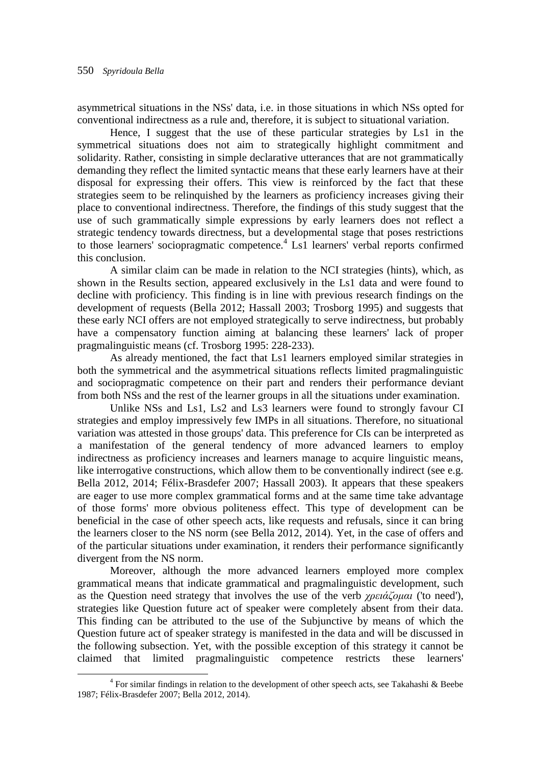$\overline{a}$ 

asymmetrical situations in the NSs' data, i.e. in those situations in which NSs opted for conventional indirectness as a rule and, therefore, it is subject to situational variation.

Hence, I suggest that the use of these particular strategies by Ls1 in the symmetrical situations does not aim to strategically highlight commitment and solidarity. Rather, consisting in simple declarative utterances that are not grammatically demanding they reflect the limited syntactic means that these early learners have at their disposal for expressing their offers. This view is reinforced by the fact that these strategies seem to be relinquished by the learners as proficiency increases giving their place to conventional indirectness. Therefore, the findings of this study suggest that the use of such grammatically simple expressions by early learners does not reflect a strategic tendency towards directness, but a developmental stage that poses restrictions to those learners' sociopragmatic competence.<sup>4</sup> Ls1 learners' verbal reports confirmed this conclusion.

A similar claim can be made in relation to the NCI strategies (hints), which, as shown in the Results section, appeared exclusively in the Ls1 data and were found to decline with proficiency. This finding is in line with previous research findings on the development of requests (Bella 2012; Hassall 2003; Trosborg 1995) and suggests that these early NCI offers are not employed strategically to serve indirectness, but probably have a compensatory function aiming at balancing these learners' lack of proper pragmalinguistic means (cf. Trosborg 1995: 228-233).

As already mentioned, the fact that Ls1 learners employed similar strategies in both the symmetrical and the asymmetrical situations reflects limited pragmalinguistic and sociopragmatic competence on their part and renders their performance deviant from both NSs and the rest of the learner groups in all the situations under examination.

Unlike NSs and Ls1, Ls2 and Ls3 learners were found to strongly favour CI strategies and employ impressively few IMPs in all situations. Therefore, no situational variation was attested in those groups' data. This preference for CIs can be interpreted as a manifestation of the general tendency of more advanced learners to employ indirectness as proficiency increases and learners manage to acquire linguistic means, like interrogative constructions, which allow them to be conventionally indirect (see e.g. Bella 2012, 2014; Félix-Brasdefer 2007; Hassall 2003). It appears that these speakers are eager to use more complex grammatical forms and at the same time take advantage of those forms' more obvious politeness effect. This type of development can be beneficial in the case of other speech acts, like requests and refusals, since it can bring the learners closer to the NS norm (see Bella 2012, 2014). Yet, in the case of offers and of the particular situations under examination, it renders their performance significantly divergent from the NS norm.

Moreover, although the more advanced learners employed more complex grammatical means that indicate grammatical and pragmalinguistic development, such as the Question need strategy that involves the use of the verb *χρειάζομαι* ('to need'), strategies like Question future act of speaker were completely absent from their data. This finding can be attributed to the use of the Subjunctive by means of which the Question future act of speaker strategy is manifested in the data and will be discussed in the following subsection. Yet, with the possible exception of this strategy it cannot be claimed that limited pragmalinguistic competence restricts these learners'

<sup>&</sup>lt;sup>4</sup> For similar findings in relation to the development of other speech acts, see Takahashi & Beebe 1987; Félix-Brasdefer 2007; Bella 2012, 2014).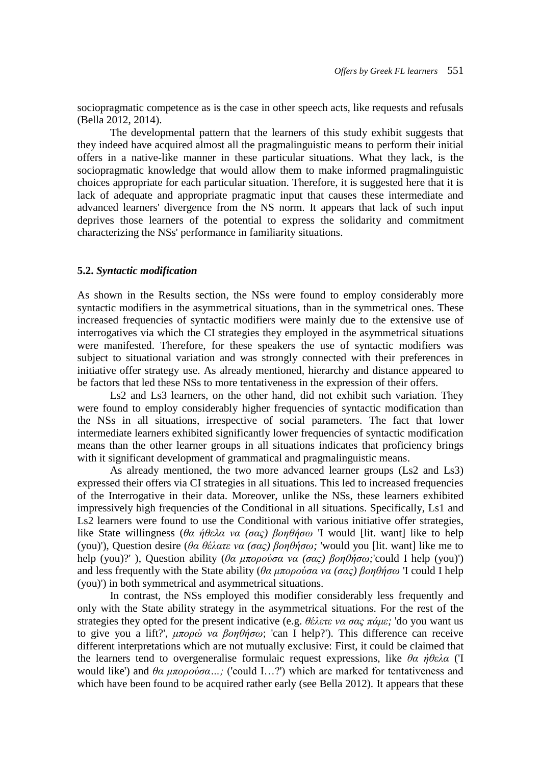sociopragmatic competence as is the case in other speech acts, like requests and refusals (Bella 2012, 2014).

The developmental pattern that the learners of this study exhibit suggests that they indeed have acquired almost all the pragmalinguistic means to perform their initial offers in a native-like manner in these particular situations. What they lack, is the sociopragmatic knowledge that would allow them to make informed pragmalinguistic choices appropriate for each particular situation. Therefore, it is suggested here that it is lack of adequate and appropriate pragmatic input that causes these intermediate and advanced learners' divergence from the NS norm. It appears that lack of such input deprives those learners of the potential to express the solidarity and commitment characterizing the NSs' performance in familiarity situations.

#### **5.2.** *Syntactic modification*

As shown in the Results section, the NSs were found to employ considerably more syntactic modifiers in the asymmetrical situations, than in the symmetrical ones. These increased frequencies of syntactic modifiers were mainly due to the extensive use of interrogatives via which the CI strategies they employed in the asymmetrical situations were manifested. Therefore, for these speakers the use of syntactic modifiers was subject to situational variation and was strongly connected with their preferences in initiative offer strategy use. As already mentioned, hierarchy and distance appeared to be factors that led these NSs to more tentativeness in the expression of their offers.

Ls2 and Ls3 learners, on the other hand, did not exhibit such variation. They were found to employ considerably higher frequencies of syntactic modification than the NSs in all situations, irrespective of social parameters. The fact that lower intermediate learners exhibited significantly lower frequencies of syntactic modification means than the other learner groups in all situations indicates that proficiency brings with it significant development of grammatical and pragmalinguistic means.

As already mentioned, the two more advanced learner groups (Ls2 and Ls3) expressed their offers via CI strategies in all situations. This led to increased frequencies of the Interrogative in their data. Moreover, unlike the NSs, these learners exhibited impressively high frequencies of the Conditional in all situations. Specifically, Ls1 and Ls2 learners were found to use the Conditional with various initiative offer strategies, like State willingness (*θα ήθελα να (σας) βοηθήσω* 'I would [lit. want] like to help (you)'), Question desire (*θα θέλατε να (σας) βοηθήσω;* 'would you [lit. want] like me to help (you)?' ), Question ability (*θα μπορούσα να (σας) βοηθήσω;*'could I help (you)') and less frequently with the State ability (*θα μπορούσα να (σας) βοηθήσω* 'I could I help (you)') in both symmetrical and asymmetrical situations.

In contrast, the NSs employed this modifier considerably less frequently and only with the State ability strategy in the asymmetrical situations. For the rest of the strategies they opted for the present indicative (e.g. *θέλετε να σας πάμε;* 'do you want us to give you a lift?', *μπορώ να βοηθήσω*; 'can I help?'). This difference can receive different interpretations which are not mutually exclusive: First, it could be claimed that the learners tend to overgeneralise formulaic request expressions, like *θα ήθελα* ('I would like') and *θα μπορούσα…;* ('could I…?') which are marked for tentativeness and which have been found to be acquired rather early (see Bella 2012). It appears that these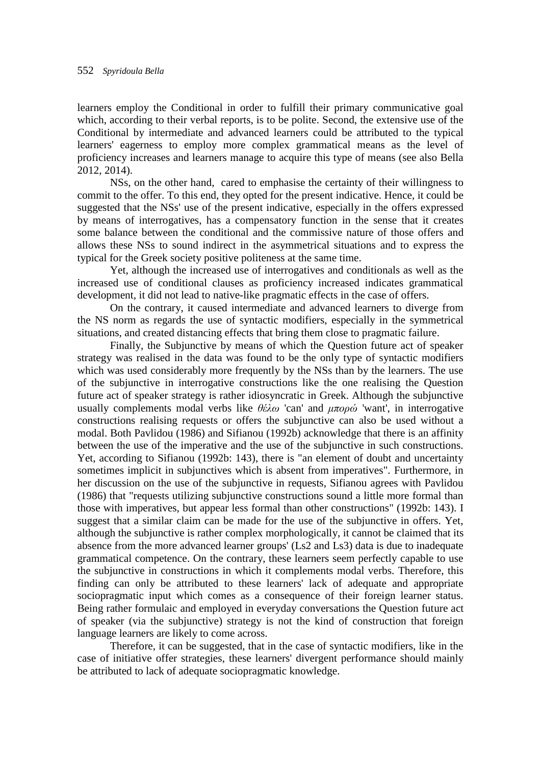learners employ the Conditional in order to fulfill their primary communicative goal which, according to their verbal reports, is to be polite. Second, the extensive use of the Conditional by intermediate and advanced learners could be attributed to the typical learners' eagerness to employ more complex grammatical means as the level of proficiency increases and learners manage to acquire this type of means (see also Bella 2012, 2014).

NSs, on the other hand, cared to emphasise the certainty of their willingness to commit to the offer. To this end, they opted for the present indicative. Hence, it could be suggested that the NSs' use of the present indicative, especially in the offers expressed by means of interrogatives, has a compensatory function in the sense that it creates some balance between the conditional and the commissive nature of those offers and allows these NSs to sound indirect in the asymmetrical situations and to express the typical for the Greek society positive politeness at the same time.

Yet, although the increased use of interrogatives and conditionals as well as the increased use of conditional clauses as proficiency increased indicates grammatical development, it did not lead to native-like pragmatic effects in the case of offers.

On the contrary, it caused intermediate and advanced learners to diverge from the NS norm as regards the use of syntactic modifiers, especially in the symmetrical situations, and created distancing effects that bring them close to pragmatic failure.

Finally, the Subjunctive by means of which the Question future act of speaker strategy was realised in the data was found to be the only type of syntactic modifiers which was used considerably more frequently by the NSs than by the learners. The use of the subjunctive in interrogative constructions like the one realising the Question future act of speaker strategy is rather idiosyncratic in Greek. Although the subjunctive usually complements modal verbs like *θέλω* 'can' and *μπορώ* 'want', in interrogative constructions realising requests or offers the subjunctive can also be used without a modal. Both Pavlidou (1986) and Sifianou (1992b) acknowledge that there is an affinity between the use of the imperative and the use of the subjunctive in such constructions. Yet, according to Sifianou (1992b: 143), there is "an element of doubt and uncertainty sometimes implicit in subjunctives which is absent from imperatives". Furthermore, in her discussion on the use of the subjunctive in requests, Sifianou agrees with Pavlidou (1986) that "requests utilizing subjunctive constructions sound a little more formal than those with imperatives, but appear less formal than other constructions" (1992b: 143). I suggest that a similar claim can be made for the use of the subjunctive in offers. Yet, although the subjunctive is rather complex morphologically, it cannot be claimed that its absence from the more advanced learner groups' (Ls2 and Ls3) data is due to inadequate grammatical competence. On the contrary, these learners seem perfectly capable to use the subjunctive in constructions in which it complements modal verbs. Therefore, this finding can only be attributed to these learners' lack of adequate and appropriate sociopragmatic input which comes as a consequence of their foreign learner status. Being rather formulaic and employed in everyday conversations the Question future act of speaker (via the subjunctive) strategy is not the kind of construction that foreign language learners are likely to come across.

Therefore, it can be suggested, that in the case of syntactic modifiers, like in the case of initiative offer strategies, these learners' divergent performance should mainly be attributed to lack of adequate sociopragmatic knowledge.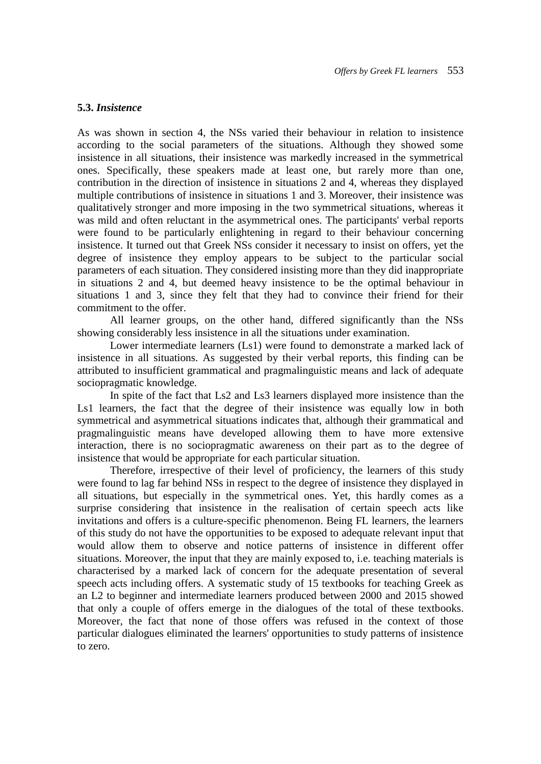### **5.3.** *Insistence*

As was shown in section 4, the NSs varied their behaviour in relation to insistence according to the social parameters of the situations. Although they showed some insistence in all situations, their insistence was markedly increased in the symmetrical ones. Specifically, these speakers made at least one, but rarely more than one, contribution in the direction of insistence in situations 2 and 4, whereas they displayed multiple contributions of insistence in situations 1 and 3. Moreover, their insistence was qualitatively stronger and more imposing in the two symmetrical situations, whereas it was mild and often reluctant in the asymmetrical ones. The participants' verbal reports were found to be particularly enlightening in regard to their behaviour concerning insistence. It turned out that Greek NSs consider it necessary to insist on offers, yet the degree of insistence they employ appears to be subject to the particular social parameters of each situation. They considered insisting more than they did inappropriate in situations 2 and 4, but deemed heavy insistence to be the optimal behaviour in situations 1 and 3, since they felt that they had to convince their friend for their commitment to the offer.

All learner groups, on the other hand, differed significantly than the NSs showing considerably less insistence in all the situations under examination.

Lower intermediate learners (Ls1) were found to demonstrate a marked lack of insistence in all situations. As suggested by their verbal reports, this finding can be attributed to insufficient grammatical and pragmalinguistic means and lack of adequate sociopragmatic knowledge.

In spite of the fact that Ls2 and Ls3 learners displayed more insistence than the Ls1 learners, the fact that the degree of their insistence was equally low in both symmetrical and asymmetrical situations indicates that, although their grammatical and pragmalinguistic means have developed allowing them to have more extensive interaction, there is no sociopragmatic awareness on their part as to the degree of insistence that would be appropriate for each particular situation.

Therefore, irrespective of their level of proficiency, the learners of this study were found to lag far behind NSs in respect to the degree of insistence they displayed in all situations, but especially in the symmetrical ones. Yet, this hardly comes as a surprise considering that insistence in the realisation of certain speech acts like invitations and offers is a culture-specific phenomenon. Being FL learners, the learners of this study do not have the opportunities to be exposed to adequate relevant input that would allow them to observe and notice patterns of insistence in different offer situations. Moreover, the input that they are mainly exposed to, i.e. teaching materials is characterised by a marked lack of concern for the adequate presentation of several speech acts including offers. A systematic study of 15 textbooks for teaching Greek as an L2 to beginner and intermediate learners produced between 2000 and 2015 showed that only a couple of offers emerge in the dialogues of the total of these textbooks. Moreover, the fact that none of those offers was refused in the context of those particular dialogues eliminated the learners' opportunities to study patterns of insistence to zero.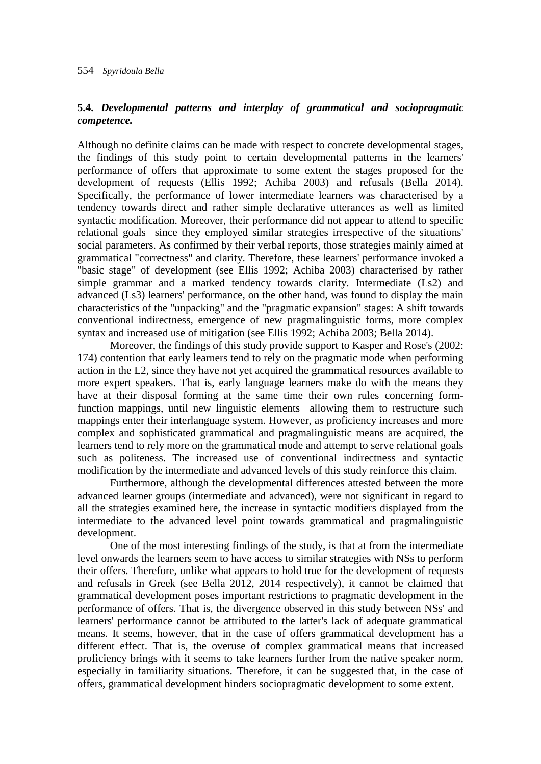### **5.4.** *Developmental patterns and interplay of grammatical and sociopragmatic competence.*

Although no definite claims can be made with respect to concrete developmental stages, the findings of this study point to certain developmental patterns in the learners' performance of offers that approximate to some extent the stages proposed for the development of requests (Ellis 1992; Achiba 2003) and refusals (Bella 2014). Specifically, the performance of lower intermediate learners was characterised by a tendency towards direct and rather simple declarative utterances as well as limited syntactic modification. Moreover, their performance did not appear to attend to specific relational goals since they employed similar strategies irrespective of the situations' social parameters. As confirmed by their verbal reports, those strategies mainly aimed at grammatical "correctness" and clarity. Therefore, these learners' performance invoked a "basic stage" of development (see Ellis 1992; Achiba 2003) characterised by rather simple grammar and a marked tendency towards clarity. Intermediate (Ls2) and advanced (Ls3) learners' performance, on the other hand, was found to display the main characteristics of the "unpacking" and the "pragmatic expansion" stages: A shift towards conventional indirectness, emergence of new pragmalinguistic forms, more complex syntax and increased use of mitigation (see Ellis 1992; Achiba 2003; Bella 2014).

Moreover, the findings of this study provide support to Kasper and Rose's (2002: 174) contention that early learners tend to rely on the pragmatic mode when performing action in the L2, since they have not yet acquired the grammatical resources available to more expert speakers. That is, early language learners make do with the means they have at their disposal forming at the same time their own rules concerning formfunction mappings, until new linguistic elements allowing them to restructure such mappings enter their interlanguage system. However, as proficiency increases and more complex and sophisticated grammatical and pragmalinguistic means are acquired, the learners tend to rely more on the grammatical mode and attempt to serve relational goals such as politeness. The increased use of conventional indirectness and syntactic modification by the intermediate and advanced levels of this study reinforce this claim.

Furthermore, although the developmental differences attested between the more advanced learner groups (intermediate and advanced), were not significant in regard to all the strategies examined here, the increase in syntactic modifiers displayed from the intermediate to the advanced level point towards grammatical and pragmalinguistic development.

One of the most interesting findings of the study, is that at from the intermediate level onwards the learners seem to have access to similar strategies with NSs to perform their offers. Therefore, unlike what appears to hold true for the development of requests and refusals in Greek (see Bella 2012, 2014 respectively), it cannot be claimed that grammatical development poses important restrictions to pragmatic development in the performance of offers. That is, the divergence observed in this study between NSs' and learners' performance cannot be attributed to the latter's lack of adequate grammatical means. It seems, however, that in the case of offers grammatical development has a different effect. That is, the overuse of complex grammatical means that increased proficiency brings with it seems to take learners further from the native speaker norm, especially in familiarity situations. Therefore, it can be suggested that, in the case of offers, grammatical development hinders sociopragmatic development to some extent.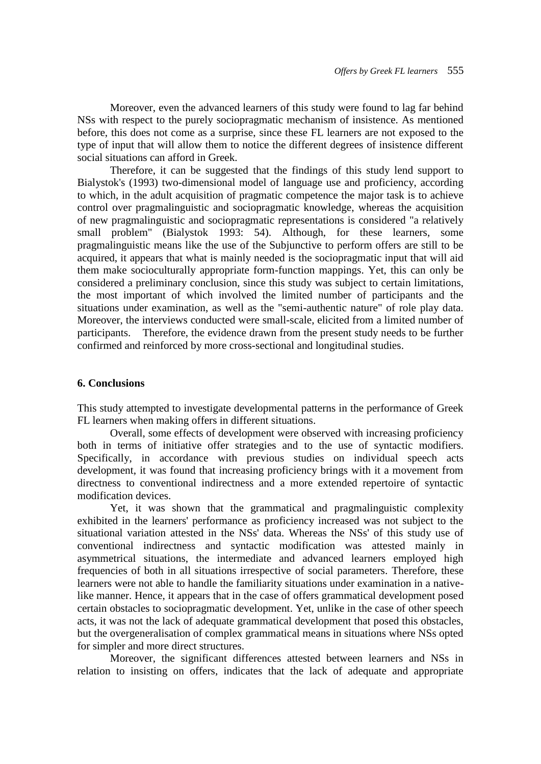Moreover, even the advanced learners of this study were found to lag far behind NSs with respect to the purely sociopragmatic mechanism of insistence. As mentioned before, this does not come as a surprise, since these FL learners are not exposed to the type of input that will allow them to notice the different degrees of insistence different social situations can afford in Greek.

Therefore, it can be suggested that the findings of this study lend support to Bialystok's (1993) two-dimensional model of language use and proficiency, according to which, in the adult acquisition of pragmatic competence the major task is to achieve control over pragmalinguistic and sociopragmatic knowledge, whereas the acquisition of new pragmalinguistic and sociopragmatic representations is considered "a relatively small problem" (Bialystok 1993: 54). Although, for these learners, some pragmalinguistic means like the use of the Subjunctive to perform offers are still to be acquired, it appears that what is mainly needed is the sociopragmatic input that will aid them make socioculturally appropriate form-function mappings. Yet, this can only be considered a preliminary conclusion, since this study was subject to certain limitations, the most important of which involved the limited number of participants and the situations under examination, as well as the "semi-authentic nature" of role play data. Moreover, the interviews conducted were small-scale, elicited from a limited number of participants. Therefore, the evidence drawn from the present study needs to be further confirmed and reinforced by more cross-sectional and longitudinal studies.

#### **6. Conclusions**

This study attempted to investigate developmental patterns in the performance of Greek FL learners when making offers in different situations.

Overall, some effects of development were observed with increasing proficiency both in terms of initiative offer strategies and to the use of syntactic modifiers. Specifically, in accordance with previous studies on individual speech acts development, it was found that increasing proficiency brings with it a movement from directness to conventional indirectness and a more extended repertoire of syntactic modification devices.

Yet, it was shown that the grammatical and pragmalinguistic complexity exhibited in the learners' performance as proficiency increased was not subject to the situational variation attested in the NSs' data. Whereas the NSs' of this study use of conventional indirectness and syntactic modification was attested mainly in asymmetrical situations, the intermediate and advanced learners employed high frequencies of both in all situations irrespective of social parameters. Therefore, these learners were not able to handle the familiarity situations under examination in a nativelike manner. Hence, it appears that in the case of offers grammatical development posed certain obstacles to sociopragmatic development. Yet, unlike in the case of other speech acts, it was not the lack of adequate grammatical development that posed this obstacles, but the overgeneralisation of complex grammatical means in situations where NSs opted for simpler and more direct structures.

Moreover, the significant differences attested between learners and NSs in relation to insisting on offers, indicates that the lack of adequate and appropriate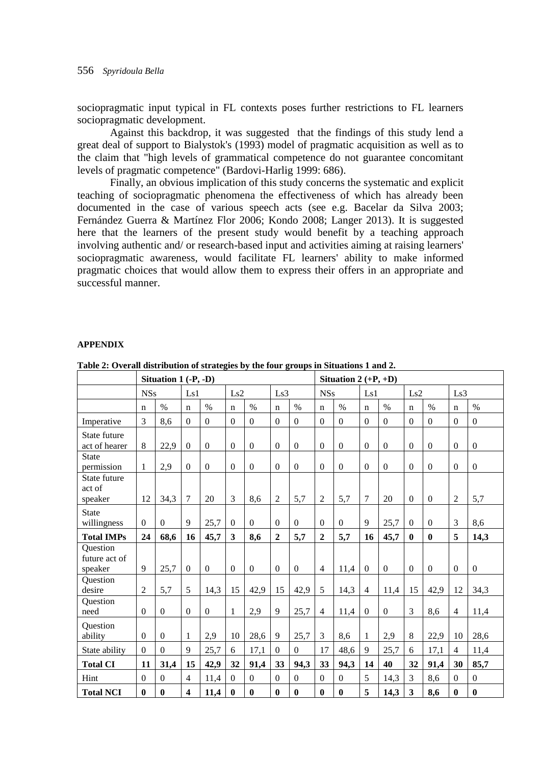sociopragmatic input typical in FL contexts poses further restrictions to FL learners sociopragmatic development.

Against this backdrop, it was suggested that the findings of this study lend a great deal of support to Bialystok's (1993) model of pragmatic acquisition as well as to the claim that "high levels of grammatical competence do not guarantee concomitant levels of pragmatic competence" (Bardovi-Harlig 1999: 686).

Finally, an obvious implication of this study concerns the systematic and explicit teaching of sociopragmatic phenomena the effectiveness of which has already been documented in the case of various speech acts (see e.g. Bacelar da Silva 2003; Fernández Guerra & Martínez Flor 2006; Kondo 2008; Langer 2013). It is suggested here that the learners of the present study would benefit by a teaching approach involving authentic and/ or research-based input and activities aiming at raising learners' sociopragmatic awareness, would facilitate FL learners' ability to make informed pragmatic choices that would allow them to express their offers in an appropriate and successful manner.

#### **APPENDIX**

|                                      |                  | Situation 1 (-P, -D) |                         |                |                  |                  |                |                  |                | Situation 2 $(+P, +D)$ |                  |                  |                  |                  |                  |                  |  |
|--------------------------------------|------------------|----------------------|-------------------------|----------------|------------------|------------------|----------------|------------------|----------------|------------------------|------------------|------------------|------------------|------------------|------------------|------------------|--|
|                                      | <b>NSs</b>       |                      | Ls1                     |                | Ls2              |                  | Ls3            |                  | <b>NSs</b>     |                        | Ls1              |                  | Ls2              |                  | Ls3              |                  |  |
|                                      | $\mathbf n$      | $\%$                 | $\mathbf n$             | $\%$           | $\mathbf n$      | $\%$             | $\mathbf n$    | $\frac{0}{0}$    | $\mathbf n$    | $\%$                   | $\mathbf n$      | $\%$             | $\mathbf n$      | $\%$             | $\mathbf n$      | $\%$             |  |
| Imperative                           | 3                | 8,6                  | $\overline{0}$          | $\mathbf{0}$   | $\overline{0}$   | $\Omega$         | $\overline{0}$ | $\overline{0}$   | $\overline{0}$ | $\overline{0}$         | $\overline{0}$   | $\overline{0}$   | $\overline{0}$   | $\overline{0}$   | $\overline{0}$   | $\boldsymbol{0}$ |  |
| State future<br>act of hearer        | 8                | 22,9                 | $\mathbf{0}$            | $\overline{0}$ | $\boldsymbol{0}$ | $\boldsymbol{0}$ | $\Omega$       | $\mathbf{0}$     | $\overline{0}$ | $\boldsymbol{0}$       | $\overline{0}$   | $\boldsymbol{0}$ | $\boldsymbol{0}$ | $\boldsymbol{0}$ | $\boldsymbol{0}$ | $\boldsymbol{0}$ |  |
| <b>State</b><br>permission           | $\mathbf{1}$     | 2,9                  | $\Omega$                | $\Omega$       | $\Omega$         | $\Omega$         | $\Omega$       | $\Omega$         | $\Omega$       | $\Omega$               | $\theta$         | $\boldsymbol{0}$ | $\Omega$         | $\boldsymbol{0}$ | $\Omega$         | $\overline{0}$   |  |
| State future<br>act of<br>speaker    | 12               | 34,3                 | $\overline{7}$          | 20             | 3                | 8,6              | $\overline{2}$ | 5,7              | 2              | 5,7                    | $\tau$           | 20               | $\boldsymbol{0}$ | $\boldsymbol{0}$ | $\overline{2}$   | 5,7              |  |
| <b>State</b><br>willingness          | $\Omega$         | $\Omega$             | $\mathbf{Q}$            | 25,7           | $\Omega$         | $\theta$         | $\Omega$       | $\Omega$         | $\theta$       | $\overline{0}$         | 9                | 25,7             | $\theta$         | $\Omega$         | 3                | 8,6              |  |
| <b>Total IMPs</b>                    | 24               | 68,6                 | 16                      | 45,7           | 3                | 8,6              | $\mathbf{2}$   | 5,7              | $\mathbf{2}$   | 5,7                    | 16               | 45,7             | $\mathbf{0}$     | $\bf{0}$         | 5                | 14,3             |  |
| Question<br>future act of<br>speaker | 9                | 25,7                 | $\Omega$                | $\mathbf{0}$   | $\overline{0}$   | $\Omega$         | $\mathbf{0}$   | $\boldsymbol{0}$ | $\overline{4}$ | 11,4                   | $\boldsymbol{0}$ | $\boldsymbol{0}$ | $\boldsymbol{0}$ | $\boldsymbol{0}$ | $\boldsymbol{0}$ | $\boldsymbol{0}$ |  |
| Question<br>desire                   | $\mathfrak{2}$   | 5,7                  | 5                       | 14,3           | 15               | 42,9             | 15             | 42,9             | 5              | 14,3                   | $\overline{4}$   | 11,4             | 15               | 42,9             | 12               | 34,3             |  |
| Question<br>need                     | $\Omega$         | $\Omega$             | $\mathbf{0}$            | $\Omega$       | 1                | 2,9              | 9              | 25,7             | $\overline{4}$ | 11,4                   | $\Omega$         | $\boldsymbol{0}$ | 3                | 8,6              | $\overline{4}$   | 11,4             |  |
| Question<br>ability                  | $\boldsymbol{0}$ | $\boldsymbol{0}$     | $\mathbf{1}$            | 2,9            | 10               | 28,6             | 9              | 25,7             | $\overline{3}$ | 8,6                    | $\mathbf{1}$     | 2,9              | 8                | 22,9             | 10               | 28,6             |  |
| State ability                        | $\Omega$         | $\Omega$             | 9                       | 25,7           | 6                | 17,1             | $\theta$       | $\theta$         | 17             | 48,6                   | 9                | 25,7             | 6                | 17,1             | $\overline{4}$   | 11,4             |  |
| <b>Total CI</b>                      | 11               | 31,4                 | 15                      | 42,9           | 32               | 91,4             | 33             | 94,3             | 33             | 94,3                   | 14               | 40               | 32               | 91,4             | 30               | 85,7             |  |
| Hint                                 | $\boldsymbol{0}$ | $\Omega$             | $\overline{4}$          | 11,4           | $\Omega$         | $\Omega$         | $\Omega$       | $\Omega$         | $\mathbf{0}$   | $\Omega$               | 5                | 14,3             | 3                | 8,6              | $\Omega$         | $\mathbf{0}$     |  |
| <b>Total NCI</b>                     | $\bf{0}$         | $\bf{0}$             | $\overline{\mathbf{4}}$ | 11,4           | $\bf{0}$         | $\bf{0}$         | $\bf{0}$       | $\bf{0}$         | $\bf{0}$       | $\bf{0}$               | 5                | 14,3             | 3                | 8,6              | $\bf{0}$         | $\bf{0}$         |  |

**Table 2: Overall distribution of strategies by the four groups in Situations 1 and 2.**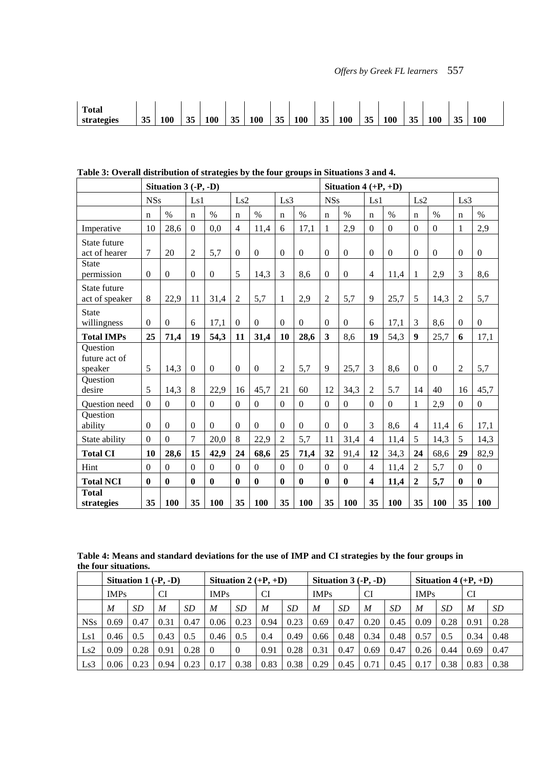| <b>Total</b> |                    |            |                    |     |         |            |                           |            |          |     |                            |            |                                       |            |                    |            |  |
|--------------|--------------------|------------|--------------------|-----|---------|------------|---------------------------|------------|----------|-----|----------------------------|------------|---------------------------------------|------------|--------------------|------------|--|
|              | $\sim$ $\sim$<br>◡ | <b>100</b> | $\sim$ $\sim$<br>◡ | 100 | 35<br>ັ | <b>100</b> | $\sim$ $\sim$<br>-45<br>◡ | <b>100</b> | 35<br>ັ້ | 100 | 35<br>$\ddot{\phantom{0}}$ | <b>100</b> | $\sim$ $\sim$<br>$\ddot{\phantom{0}}$ | <b>100</b> | $\sim$ $\sim$<br>ັ | <b>100</b> |  |

**Table 3: Overall distribution of strategies by the four groups in Situations 3 and 4.**

|                                      |                  | Situation $3(-P,-D)$ |                  |                  |                  |                  |                |                  | Situation $4 (+P, +D)$  |                  |                         |                  |                  |          |                  |                  |
|--------------------------------------|------------------|----------------------|------------------|------------------|------------------|------------------|----------------|------------------|-------------------------|------------------|-------------------------|------------------|------------------|----------|------------------|------------------|
|                                      | <b>NSs</b>       |                      | Ls1              |                  | Ls2              |                  | Ls3            |                  | <b>NSs</b>              |                  | Ls1                     |                  | Ls2              |          | Ls3              |                  |
|                                      | $\mathbf n$      | $\%$                 | $\mathbf n$      | $\%$             | $\mathbf n$      | $\%$             | $\mathbf n$    | $\%$             | $\mathbf n$             | $\%$             | $\mathbf n$             | $\%$             | $\mathbf n$      | $\%$     | $\mathbf n$      | $\%$             |
| Imperative                           | 10               | 28,6                 | $\Omega$         | 0,0              | $\overline{4}$   | 11,4             | 6              | 17,1             | $\mathbf{1}$            | 2,9              | $\Omega$                | $\Omega$         | $\Omega$         | $\Omega$ | $\mathbf{1}$     | 2,9              |
| State future<br>act of hearer        | $\tau$           | 20                   | $\overline{2}$   | 5,7              | $\boldsymbol{0}$ | $\Omega$         | $\overline{0}$ | $\boldsymbol{0}$ | $\boldsymbol{0}$        | $\theta$         | $\mathbf{0}$            | $\boldsymbol{0}$ | $\boldsymbol{0}$ | $\theta$ | $\boldsymbol{0}$ | $\mathbf{0}$     |
| <b>State</b><br>permission           | $\boldsymbol{0}$ | $\boldsymbol{0}$     | $\boldsymbol{0}$ | $\boldsymbol{0}$ | 5                | 14,3             | 3              | 8,6              | $\boldsymbol{0}$        | $\boldsymbol{0}$ | $\overline{4}$          | 11,4             | $\mathbf{1}$     | 2,9      | 3                | 8,6              |
| State future<br>act of speaker       | 8                | 22,9                 | 11               | 31,4             | $\overline{2}$   | 5,7              | $\mathbf{1}$   | 2,9              | $\overline{2}$          | 5,7              | 9                       | 25,7             | 5                | 14,3     | $\overline{2}$   | 5,7              |
| <b>State</b><br>willingness          | $\Omega$         | $\mathbf{0}$         | 6                | 17,1             | $\boldsymbol{0}$ | $\Omega$         | $\overline{0}$ | $\boldsymbol{0}$ | $\boldsymbol{0}$        | $\mathbf{0}$     | 6                       | 17,1             | 3                | 8,6      | $\boldsymbol{0}$ | $\overline{0}$   |
| <b>Total IMPs</b>                    | 25               | 71,4                 | 19               | 54,3             | 11               | 31,4             | 10             | 28,6             | $\overline{\mathbf{3}}$ | 8,6              | 19                      | 54,3             | 9                | 25,7     | 6                | 17,1             |
| Question<br>future act of<br>speaker | 5                | 14,3                 | $\Omega$         | $\Omega$         | $\boldsymbol{0}$ | $\Omega$         | $\overline{2}$ | 5,7              | 9                       | 25,7             | 3                       | 8,6              | $\Omega$         | $\theta$ | $\overline{c}$   | 5,7              |
| Question<br>desire                   | 5                | 14,3                 | 8                | 22,9             | 16               | 45,7             | 21             | 60               | 12                      | 34,3             | $\overline{2}$          | 5.7              | 14               | 40       | 16               | 45,7             |
| Question need                        | $\Omega$         | $\overline{0}$       | $\mathbf{0}$     | $\overline{0}$   | $\overline{0}$   | $\mathbf{0}$     | $\overline{0}$ | $\boldsymbol{0}$ | $\boldsymbol{0}$        | $\mathbf{0}$     | $\overline{0}$          | $\overline{0}$   | $\mathbf{1}$     | 2,9      | $\boldsymbol{0}$ | $\overline{0}$   |
| Question<br>ability                  | $\boldsymbol{0}$ | $\boldsymbol{0}$     | $\boldsymbol{0}$ | $\overline{0}$   | $\boldsymbol{0}$ | $\boldsymbol{0}$ | $\overline{0}$ | $\boldsymbol{0}$ | $\boldsymbol{0}$        | $\boldsymbol{0}$ | 3                       | 8,6              | $\overline{4}$   | 11,4     | 6                | 17,1             |
| State ability                        | $\Omega$         | $\overline{0}$       | $\overline{7}$   | 20,0             | 8                | 22,9             | $\overline{2}$ | 5,7              | 11                      | 31,4             | $\overline{4}$          | 11,4             | 5                | 14,3     | 5                | 14,3             |
| <b>Total CI</b>                      | 10               | 28,6                 | 15               | 42,9             | 24               | 68,6             | 25             | 71,4             | 32                      | 91,4             | 12                      | 34,3             | 24               | 68,6     | 29               | 82,9             |
| Hint                                 | $\mathbf{0}$     | $\boldsymbol{0}$     | $\overline{0}$   | $\overline{0}$   | $\mathbf{0}$     | $\boldsymbol{0}$ | $\mathbf{0}$   | $\boldsymbol{0}$ | $\mathbf{0}$            | $\boldsymbol{0}$ | $\overline{4}$          | 11,4             | $\overline{2}$   | 5,7      | $\mathbf{0}$     | $\boldsymbol{0}$ |
| <b>Total NCI</b>                     | $\bf{0}$         | $\bf{0}$             | $\bf{0}$         | $\bf{0}$         | $\bf{0}$         | $\bf{0}$         | $\bf{0}$       | $\bf{0}$         | $\bf{0}$                | $\mathbf{0}$     | $\overline{\mathbf{4}}$ | 11,4             | $\overline{2}$   | 5,7      | $\mathbf{0}$     | $\bf{0}$         |
| <b>Total</b><br>strategies           | 35               | 100                  | 35               | 100              | 35               | 100              | 35             | 100              | 35                      | 100              | 35                      | 100              | 35               | 100      | 35               | 100              |

**Table 4: Means and standard deviations for the use of IMP and CI strategies by the four groups in the four situations.**

|              |             |      | Situation $1(-P,-D)$ |      |             |           | Situation 2 $(+P, +D)$ |           |             |           | Situation $3(-P, -D)$ |      | Situation $4 (+P, +D)$ |      |                  |           |
|--------------|-------------|------|----------------------|------|-------------|-----------|------------------------|-----------|-------------|-----------|-----------------------|------|------------------------|------|------------------|-----------|
|              | <b>IMPs</b> | CI   |                      |      | <b>IMPs</b> |           | CI                     |           | <b>IMPs</b> |           | CI                    |      | <b>IMPs</b>            |      | <b>CI</b>        |           |
|              | M           | SD   | M                    | SD   | M           | <i>SD</i> | M                      | <i>SD</i> | M           | <i>SD</i> | M                     | SD   | M                      | SD   | $\boldsymbol{M}$ | <i>SD</i> |
| <b>NSs</b>   | 0.69        | 0.47 | 0.31                 | 0.47 | 0.06        | 0.23      | 0.94                   | 0.23      | 0.69        | 0.47      | 0.20                  | 0.45 | 0.09                   | 0.28 | 0.91             | 0.28      |
| Ls1          | 0.46        | 0.5  | 0.43                 | 0.5  | 0.46        | 0.5       | 0.4                    | 0.49      | 0.66        | 0.48      | 0.34                  | 0.48 | 0.57                   | 0.5  | 0.34             | 0.48      |
| Ls2          | 0.09        | 0.28 | 0.91                 | 0.28 | $\Omega$    | $\Omega$  | 0.91                   | 0.28      | 0.31        | 0.47      | 0.69                  | 0.47 | 0.26                   | 0.44 | 0.69             | 0.47      |
| $\text{Ls}3$ | 0.06        | 0.23 | 0.94                 | 0.23 | 0.17        | 0.38      | 0.83                   | 0.38      | 0.29        | 0.45      | 0.71                  | 0.45 | 0.17                   | 0.38 | 0.83             | 0.38      |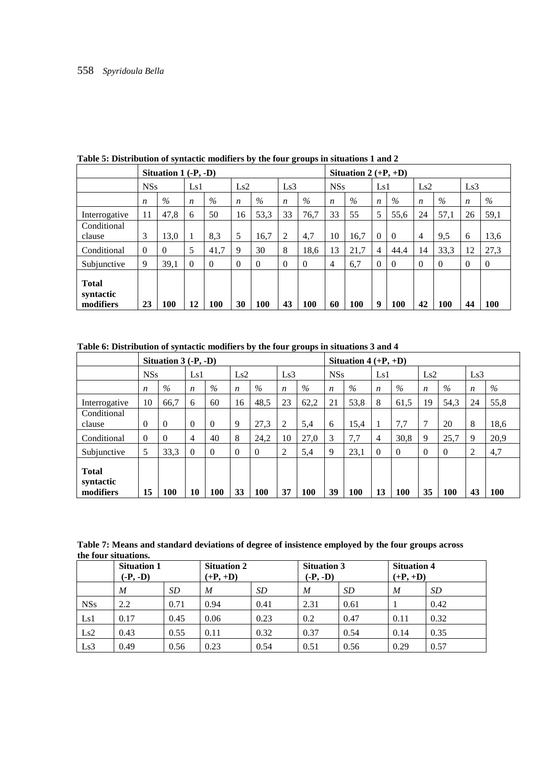|                                        |            | Situation $1(-P,-D)$ |                  |          |                  |          |                  |              | Situation 2 $(+P, +D)$ |            |                  |          |                  |          |                  |                |
|----------------------------------------|------------|----------------------|------------------|----------|------------------|----------|------------------|--------------|------------------------|------------|------------------|----------|------------------|----------|------------------|----------------|
|                                        | <b>NSs</b> |                      | Ls1              |          |                  | Ls2      |                  | $\text{Ls}3$ |                        | <b>NSs</b> |                  | Ls1      | Ls2              |          | $\text{Ls}3$     |                |
|                                        | n          | $\%$                 | $\boldsymbol{n}$ | $\%$     | $\boldsymbol{n}$ | $\%$     | $\boldsymbol{n}$ | $\%$         | n                      | %          | $\boldsymbol{n}$ | $\%$     | $\boldsymbol{n}$ | $\%$     | $\boldsymbol{n}$ | %              |
| Interrogative                          | 11         | 47,8                 | 6                | 50       | 16               | 53,3     | 33               | 76,7         | 33                     | 55         | 5                | 55,6     | 24               | 57,1     | 26               | 59,1           |
| Conditional<br>clause                  | 3          | 13,0                 | 1                | 8,3      | 5                | 16,7     | 2                | 4,7          | 10                     | 16,7       | $\Omega$         | $\Omega$ | 4                | 9,5      | 6                | 13,6           |
| Conditional                            | $\Omega$   | $\Omega$             | 5                | 41,7     | 9                | 30       | 8                | 18,6         | 13                     | 21,7       | $\overline{4}$   | 44.4     | 14               | 33,3     | 12               | 27,3           |
| Subjunctive                            | 9          | 39,1                 | $\Omega$         | $\theta$ | $\Omega$         | $\Omega$ | $\Omega$         | $\Omega$     | $\overline{4}$         | 6,7        | $\Omega$         | $\theta$ | $\theta$         | $\Omega$ | $\Omega$         | $\overline{0}$ |
| <b>Total</b><br>syntactic<br>modifiers | 23         | 100                  | 12               | 100      | 30               | 100      | 43               | 100          | 60                     | 100        | $\boldsymbol{9}$ | 100      | 42               | 100      | 44               | 100            |

**Table 5: Distribution of syntactic modifiers by the four groups in situations 1 and 2**

|  | Table 6: Distribution of syntactic modifiers by the four groups in situations 3 and 4 |                                                 |
|--|---------------------------------------------------------------------------------------|-------------------------------------------------|
|  | $C_{1}, \ldots, C_{n}$                                                                | $C_{n+1}$ $C_{n+1}$ $A$ $C_{n}$ $D_{n}$ $D_{n}$ |

|                                        |                  | Situation $3(-P, -D)$ |                  |          |                  |            |                  |              | Situation $4 (+P, +D)$ |            |                  |            |                  |            |                  |            |  |
|----------------------------------------|------------------|-----------------------|------------------|----------|------------------|------------|------------------|--------------|------------------------|------------|------------------|------------|------------------|------------|------------------|------------|--|
|                                        | <b>NSs</b>       |                       | Ls1              |          |                  | Ls2        |                  | $\text{Ls}3$ |                        | <b>NSs</b> |                  | Ls1        |                  | Ls2        |                  | Ls3        |  |
|                                        | $\boldsymbol{n}$ | %                     | $\boldsymbol{n}$ | %        | $\boldsymbol{n}$ | $\%$       | $\boldsymbol{n}$ | $\%$         | $\boldsymbol{n}$       | $\%$       | $\boldsymbol{n}$ | $\%$       | $\boldsymbol{n}$ | $\%$       | $\boldsymbol{n}$ | $\%$       |  |
| Interrogative                          | 10               | 66.7                  | 6                | 60       | 16               | 48,5       | 23               | 62,2         | 21                     | 53,8       | 8                | 61,5       | 19               | 54,3       | 24               | 55,8       |  |
| Conditional<br>clause                  | $\Omega$         | $\Omega$              | $\Omega$         | $\Omega$ | 9                | 27,3       | 2                | 5,4          | 6                      | 15,4       |                  | 7,7        | 7                | 20         | 8                | 18,6       |  |
| Conditional                            | $\Omega$         | $\Omega$              | $\overline{4}$   | 40       | 8                | 24,2       | 10               | 27,0         | 3                      | 7,7        | $\overline{4}$   | 30.8       | 9                | 25.7       | 9                | 20,9       |  |
| Subjunctive                            | 5                | 33,3                  | $\Omega$         | $\Omega$ | $\Omega$         | $\Omega$   | 2                | 5,4          | 9                      | 23.1       | $\Omega$         | $\theta$   | $\theta$         | $\Omega$   | 2                | 4,7        |  |
| <b>Total</b><br>syntactic<br>modifiers | 15               | <b>100</b>            | 10               | 100      | 33               | <b>100</b> | 37               | <b>100</b>   | 39                     | 100        | 13               | <b>100</b> | 35               | <b>100</b> | 43               | <b>100</b> |  |

| Table 7: Means and standard deviations of degree of insistence employed by the four groups across |  |
|---------------------------------------------------------------------------------------------------|--|
| the four situations.                                                                              |  |

|            | <b>Situation 1</b><br>$(-P, -D)$ |      | <b>Situation 2</b><br>$(+P,+D)$ |      | <b>Situation 3</b><br>$(-P, -D)$ |      | <b>Situation 4</b><br>$(+P, +D)$ |      |  |
|------------|----------------------------------|------|---------------------------------|------|----------------------------------|------|----------------------------------|------|--|
|            | M                                | SD   | $\boldsymbol{M}$                | SD   | M                                | SD   | $\boldsymbol{M}$                 | SD   |  |
| <b>NSs</b> | 2.2                              | 0.71 | 0.94                            | 0.41 | 2.31                             | 0.61 |                                  | 0.42 |  |
| Ls1        | 0.17                             | 0.45 | 0.06                            | 0.23 | 0.2                              | 0.47 | 0.11                             | 0.32 |  |
| Ls2        | 0.43                             | 0.55 | 0.11                            | 0.32 | 0.37                             | 0.54 | 0.14                             | 0.35 |  |
| Ls3        | 0.49                             | 0.56 | 0.23                            | 0.54 | 0.51                             | 0.56 | 0.29                             | 0.57 |  |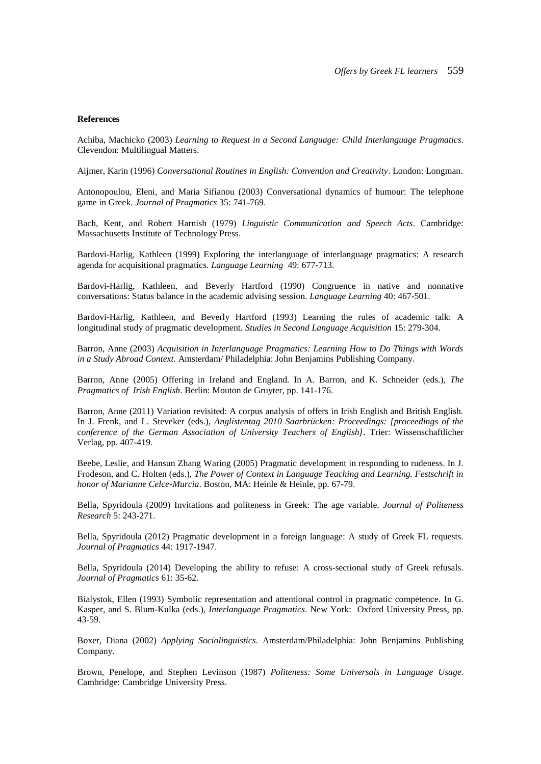#### **References**

Achiba, Machicko (2003) *Learning to Request in a Second Language: Child Interlanguage Pragmatics*. Clevendon: Multilingual Matters.

Aijmer, Karin (1996) *Conversational Routines in English: Convention and Creativity*. London: Longman.

Antonopoulou, Eleni, and Maria Sifianou (2003) Conversational dynamics of humour: The telephone game in Greek. *Journal of Pragmatics* 35: 741-769.

Bach, Kent, and Robert Harnish (1979) *Linguistic Communication and Speech Acts*. Cambridge: Massachusetts Institute of Technology Press.

Bardovi-Harlig, Kathleen (1999) Exploring the interlanguage of interlanguage pragmatics: A research agenda for acquisitional pragmatics. *Language Learning* 49: 677-713.

Bardovi-Harlig, Kathleen, and Beverly Hartford (1990) Congruence in native and nonnative conversations: Status balance in the academic advising session. *Language Learning* 40: 467-501.

Bardovi-Harlig, Kathleen, and Beverly Hartford (1993) Learning the rules of academic talk: A longitudinal study of pragmatic development. *Studies in Second Language Acquisition* 15: 279-304.

Barron, Anne (2003) *Acquisition in Interlanguage Pragmatics: Learning How to Do Things with Words in a Study Abroad Context.* Amsterdam/ Philadelphia: John Benjamins Publishing Company.

Barron, Anne (2005) Offering in Ireland and England. In A. Barron, and K. Schneider (eds.), *The Pragmatics of Irish English*. Berlin: Mouton de Gruyter, pp. 141-176.

Barron, Anne (2011) Variation revisited: A corpus analysis of offers in Irish English and British English. In J. Frenk, and L. Steveker (eds.), *Anglistentag 2010 Saarbrücken: Proceedings: [proceedings of the conference of the German Association of University Teachers of English]*. Trier: Wissenschaftlicher Verlag, pp. 407-419.

Beebe, Leslie, and Hansun Zhang Waring (2005) Pragmatic development in responding to rudeness. In J. Frodeson, and C. Holten (eds.), *The Power of Context in Language Teaching and Learning. Festschrift in honor of Marianne Celce-Murcia*. Boston, MA: Heinle & Heinle, pp. 67-79.

Bella, Spyridoula (2009) Invitations and politeness in Greek: The age variable. *Journal of Politeness Research* 5: 243-271.

Bella, Spyridoula (2012) Pragmatic development in a foreign language: A study of Greek FL requests. *Journal of Pragmatics* 44: 1917-1947.

Bella, Spyridoula (2014) Developing the ability to refuse: A cross-sectional study of Greek refusals. *Journal of Pragmatics* 61: 35-62.

Bialystok, Ellen (1993) Symbolic representation and attentional control in pragmatic competence. In G. Kasper, and S. Blum-Kulka (eds.), *Interlanguage Pragmatics*. New York: Oxford University Press, pp. 43-59.

Boxer, Diana (2002) *Applying Sociolinguistics*. Amsterdam/Philadelphia: John Benjamins Publishing Company.

Brown, Penelope, and Stephen Levinson (1987) *Politeness: Some Universals in Language Usage*. Cambridge: Cambridge University Press.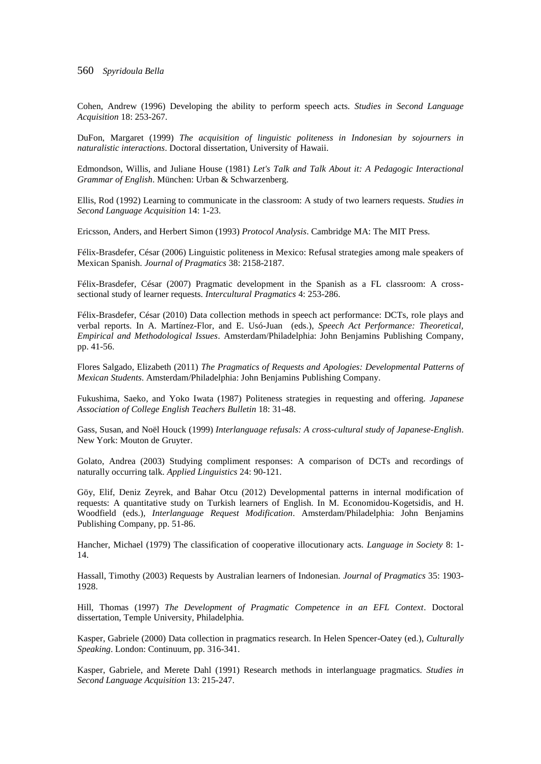Cohen, Andrew (1996) Developing the ability to perform speech acts. *Studies in Second Language Acquisition* 18: 253-267.

DuFon, Margaret (1999) *The acquisition of linguistic politeness in Indonesian by sojourners in naturalistic interactions*. Doctoral dissertation, University of Hawaii.

Edmondson, Willis, and Juliane House (1981) *Let's Talk and Talk About it: A Pedagogic Interactional Grammar of English*. München: Urban & Schwarzenberg.

Ellis, Rod (1992) Learning to communicate in the classroom: A study of two learners requests. *Studies in Second Language Acquisition* 14: 1-23.

Ericsson, Anders, and Herbert Simon (1993) *Protocol Analysis*. Cambridge MA: The MIT Press.

Félix-Brasdefer, César (2006) Linguistic politeness in Mexico: Refusal strategies among male speakers of Mexican Spanish. *Journal of Pragmatics* 38: 2158-2187.

Félix-Brasdefer, César (2007) Pragmatic development in the Spanish as a FL classroom: A crosssectional study of learner requests. *Intercultural Pragmatics* 4: 253-286.

Félix-Brasdefer, César (2010) Data collection methods in speech act performance: DCTs, role plays and verbal reports. In A. Martínez-Flor, and E. Usó-Juan (eds.), *Speech Act Performance: Theoretical, Empirical and Methodological Issues*. Amsterdam/Philadelphia: John Benjamins Publishing Company, pp. 41-56.

Flores Salgado, Elizabeth (2011) *The Pragmatics of Requests and Apologies: Developmental Patterns of Mexican Students*. Amsterdam/Philadelphia: John Benjamins Publishing Company.

Fukushima, Saeko, and Yoko Iwata (1987) Politeness strategies in requesting and offering. *Japanese Association of College English Teachers Bulletin* 18: 31-48.

Gass, Susan, and Noël Houck (1999) *Interlanguage refusals: A cross-cultural study of Japanese-English*. New York: Mouton de Gruyter.

Golato, Andrea (2003) Studying compliment responses: A comparison of DCTs and recordings of naturally occurring talk. *Applied Linguistics* 24: 90-121.

Göy, Elif, Deniz Zeyrek, and Bahar Otcu (2012) Developmental patterns in internal modification of requests: A quantitative study on Turkish learners of English. In M. Economidou-Kogetsidis, and H. Woodfield (eds.), *Interlanguage Request Modification*. Amsterdam/Philadelphia: John Benjamins Publishing Company, pp. 51-86.

Hancher, Michael (1979) The classification of cooperative illocutionary acts. *Language in Society* 8: 1- 14.

Hassall, Timothy (2003) Requests by Australian learners of Indonesian. *Journal of Pragmatics* 35: 1903- 1928.

Hill, Thomas (1997) *The Development of Pragmatic Competence in an EFL Context*. Doctoral dissertation, Temple University, Philadelphia.

Kasper, Gabriele (2000) Data collection in pragmatics research. In Helen Spencer-Oatey (ed.), *Culturally Speaking*. London: Continuum, pp. 316-341.

Kasper, Gabriele, and Merete Dahl (1991) Research methods in interlanguage pragmatics. *Studies in Second Language Acquisition* 13: 215-247.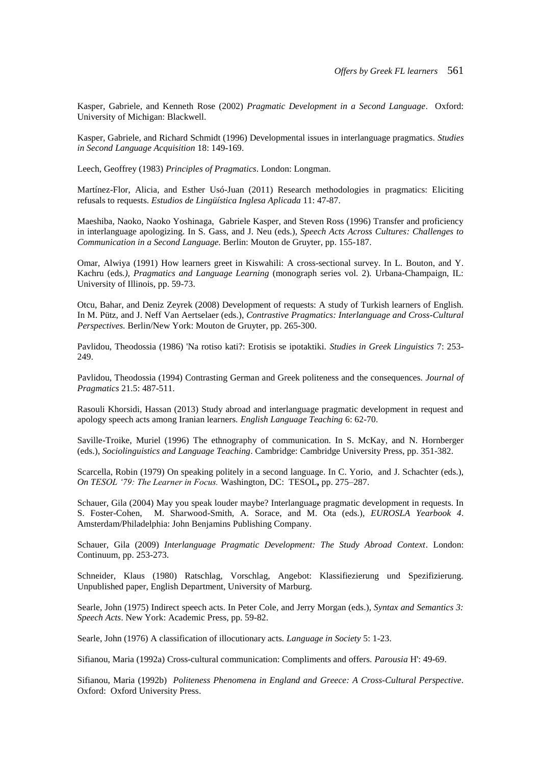Kasper, Gabriele, and Kenneth Rose (2002) *Pragmatic Development in a Second Language*. Oxford: University of Michigan: Blackwell.

Kasper, Gabriele, and Richard Schmidt (1996) Developmental issues in interlanguage pragmatics. *Studies in Second Language Acquisition* 18: 149-169.

Leech, Geoffrey (1983) *Principles of Pragmatics*. London: Longman.

Martínez-Flor, Alicia, and Esther Usó-Juan (2011) Research methodologies in pragmatics: Eliciting refusals to requests. *Estudios de Lingüística Inglesa Aplicada* 11: 47-87.

Maeshiba, Naoko, Naoko Yoshinaga, Gabriele Kasper, and Steven Ross (1996) Transfer and proficiency in interlanguage apologizing. In S. Gass, and J. Neu (eds.), *Speech Acts Across Cultures: Challenges to Communication in a Second Language.* Berlin: Mouton de Gruyter, pp. 155-187.

Omar, Alwiya (1991) How learners greet in Kiswahili: A cross-sectional survey. In L. Bouton, and Y. Kachru (eds*.), Pragmatics and Language Learning* (monograph series vol. 2)*.* Urbana-Champaign, IL: University of Illinois, pp. 59-73.

Otcu, Bahar, and Deniz Zeyrek (2008) Development of requests: A study of Turkish learners of English. In M. Pütz, and J. Neff Van Aertselaer (eds.), *Contrastive Pragmatics: Interlanguage and Cross-Cultural Perspectives.* Berlin/New York: Mouton de Gruyter, pp. 265-300.

Pavlidou, Theodossia (1986) 'Na rotiso kati?: Erotisis se ipotaktiki. *Studies in Greek Linguistics* 7: 253- 249.

Pavlidou, Theodossia (1994) Contrasting German and Greek politeness and the consequences. *Journal of Pragmatics* 21.5: 487-511.

Rasouli Khorsidi, Hassan (2013) Study abroad and interlanguage pragmatic development in request and apology speech acts among Iranian learners. *English Language Teaching* 6: 62-70.

Saville-Troike, Muriel (1996) The ethnography of communication. In S. McKay, and N. Hornberger (eds.), *Sociolinguistics and Language Teaching*. Cambridge: Cambridge University Press, pp. 351-382.

Scarcella, Robin (1979) On speaking politely in a second language. In C. Yorio, and J. Schachter (eds.), *On TESOL '79: The Learner in Focus.* Washington, DC: TESOL**,** pp. 275–287.

Schauer, Gila (2004) May you speak louder maybe? Interlanguage pragmatic development in requests. In S. Foster-Cohen, M. Sharwood-Smith, A. Sorace, and M. Ota (eds.), *EUROSLA Yearbook 4*. Amsterdam/Philadelphia: John Benjamins Publishing Company.

Schauer, Gila (2009) *Interlanguage Pragmatic Development: The Study Abroad Context*. London: Continuum, pp. 253-273.

Schneider, Klaus (1980) Ratschlag, Vorschlag, Angebot: Klassifiezierung und Spezifizierung. Unpublished paper, English Department, University of Marburg.

Searle, John (1975) Indirect speech acts. In Peter Cole, and Jerry Morgan (eds.), *Syntax and Semantics 3: Speech Acts*. New York: Academic Press, pp. 59-82.

Searle, John (1976) A classification of illocutionary acts. *Language in Society* 5: 1-23.

Sifianou, Maria (1992a) Cross-cultural communication: Compliments and offers. *Parousia* H': 49-69.

Sifianou, Maria (1992b) *Politeness Phenomena in England and Greece: A Cross-Cultural Perspective*. Oxford: Oxford University Press.